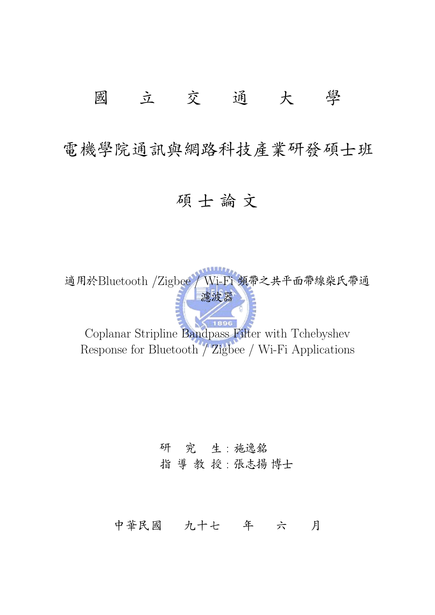## 國立交通大學

電機學院通訊與網路科技產業研發碩士班

## 碩士論文

適用於Bluetooth /Zigbee / Wi-Fi 頻帶之共平面帶線柴氏帶通 意波器

Coplanar Stripline Bandpass Filter with Tchebyshev Response for Bluetooth / Zigbee / Wi-Fi Applications

## 研 究 生:施逸銘 指 導 教 授:張志揚博士

### 中華民國 九十七 年 六 月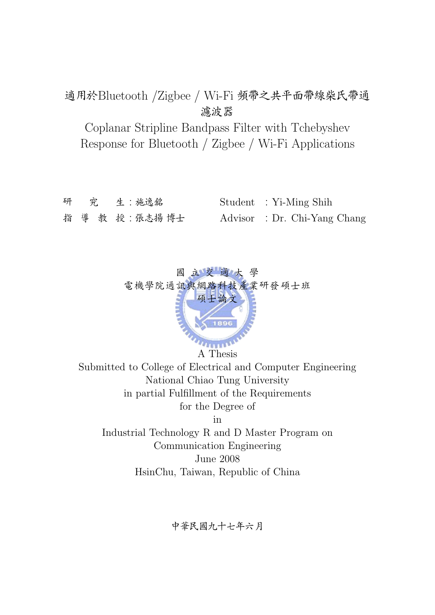### 適用於Bluetooth /Zigbee / Wi-Fi 頻帶之共平面帶線柴氏帶通 濾波器

Coplanar Stripline Bandpass Filter with Tchebyshev Response for Bluetooth / Zigbee / Wi-Fi Applications

|  | 研 究 生:施逸銘     | Student : Yi-Ming Shih       |
|--|---------------|------------------------------|
|  | 指 導 教 授:張志揚博士 | Advisor : Dr. Chi-Yang Chang |



Submitted to College of Electrical and Computer Engineering National Chiao Tung University in partial Fulfillment of the Requirements for the Degree of in Industrial Technology R and D Master Program on

Communication Engineering June 2008 HsinChu, Taiwan, Republic of China

中華民國九十七年六月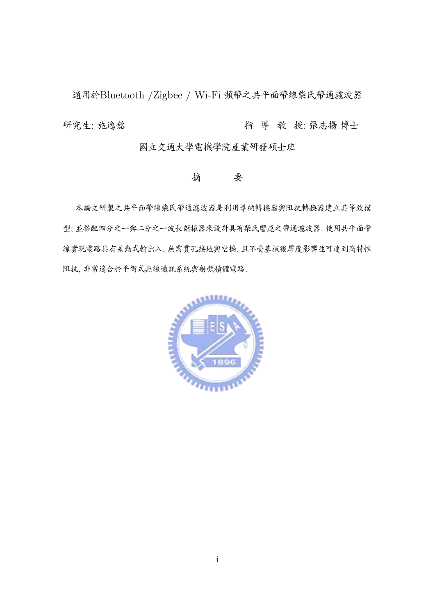適用於Bluetooth /Zigbee / Wi-Fi 頻帶之共平面帶線柴氏帶通濾波器 û˝Þ: lT N û ` ¤: "/± ²=

國立交通大學電機學院產業研發碩士班

#### 摘 要

本論文研製之共平面帶線柴氏帶通濾波器是利用導納轉換器與阻抗轉換器建立其等效模 型; 並搭配四分之一與二分之一波長諧振器來設計具有柴氏響應之帶通濾波器, 使用共平面帶 線實現電路具有差動式輸出入, 無需貫孔接地與空橋, 且不受基板後厚度影響並可達到高特性 阻抗, 非常適合於平衡式無線通訊系統與射頻積體電路.

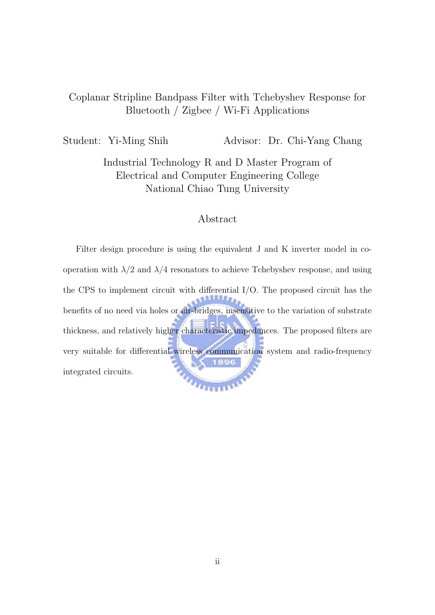#### Coplanar Stripline Bandpass Filter with Tchebyshev Response for Bluetooth / Zigbee / Wi-Fi Applications

Student: Yi-Ming Shih Advisor: Dr. Chi-Yang Chang

Industrial Technology R and D Master Program of Electrical and Computer Engineering College National Chiao Tung University

#### Abstract

Filter design procedure is using the equivalent J and K inverter model in cooperation with  $\lambda/2$  and  $\lambda/4$  resonators to achieve Tchebyshev response, and using the CPS to implement circuit with differential I/O. The proposed circuit has the benefits of no need via holes or air-bridges, insensitive to the variation of substrate thickness, and relatively higher characteristic impedances. The proposed filters are very suitable for differential wireless communication system and radio-frequency integrated circuits. **THEFT AND REAL**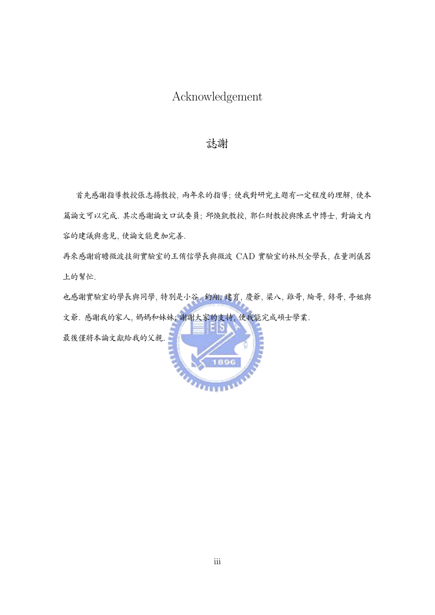### Acknowledgement

#### 誌謝

首先感謝指導教授張志揚教授, 兩年來的指導; 使我對研究主題有一定程度的理解, 使本 篇論文可以完成. 其次感謝論文口試委員; 邱煥凱教授, 郭仁財教授與陳正中博士, 對論文内 容的建議與意見,使論文能更加完善.

再來感謝前瞻微波技術實驗室的王侑信學長與微波 CAD 實驗室的林烈全學長, 在量測儀器 上的幫忙.

也感謝實驗室的學長與同學,特別是小谷, 鈞翔, 建育, 慶爺, 梁八, 雞哥, 綸哥, 錞哥, 亭姐與 文爺. 感謝我的家人, 媽媽和妹妹; 謝謝大家的支持, 使我能完成碩士學業.

最後僅將本論文獻給我的父親.

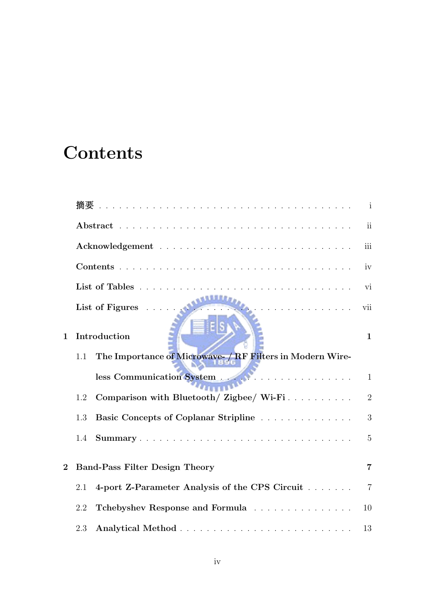# **Contents**

|             | 摘要                                                               | $\mathbf{1}$             |
|-------------|------------------------------------------------------------------|--------------------------|
|             |                                                                  | $\overline{\textbf{ii}}$ |
|             |                                                                  | iii                      |
|             |                                                                  | iv                       |
|             |                                                                  | vi                       |
|             | List of Figures $\dots$<br>.                                     | vii                      |
| $\mathbf 1$ | Introduction                                                     | $\mathbf{1}$             |
|             | The Importance of Microwave- / RF Filters in Modern Wire-<br>1.1 |                          |
|             | less Communication System                                        | $\mathbf{1}$             |
|             | Comparison with Bluetooth/ Zigbee/ Wi-Fi<br>1.2                  | $\overline{2}$           |
|             | Basic Concepts of Coplanar Stripline<br>1.3                      | 3                        |
|             | 1.4                                                              | $\overline{5}$           |
| $\bf{2}$    | <b>Band-Pass Filter Design Theory</b>                            | $\overline{7}$           |
|             | 4-port Z-Parameter Analysis of the CPS Circuit<br>2.1            | $\overline{7}$           |
|             | Tchebyshev Response and Formula<br>2.2                           | 10                       |
|             | 2.3                                                              | 13                       |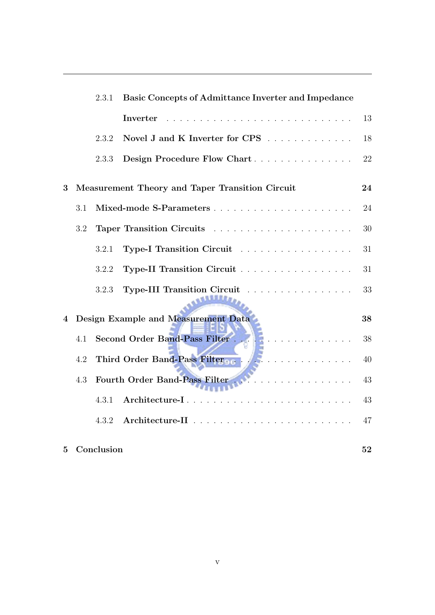|                |         | 2.3.1      | <b>Basic Concepts of Admittance Inverter and Impedance</b> |    |  |
|----------------|---------|------------|------------------------------------------------------------|----|--|
|                |         |            | Inverter                                                   | 13 |  |
|                |         | 2.3.2      | Novel J and K Inverter for CPS                             | 18 |  |
|                |         | 2.3.3      | Design Procedure Flow Chart                                | 22 |  |
| 3              |         |            | <b>Measurement Theory and Taper Transition Circuit</b>     | 24 |  |
|                | 3.1     |            |                                                            | 24 |  |
|                | 3.2     |            |                                                            | 30 |  |
|                |         | 3.2.1      | Type-I Transition Circuit                                  | 31 |  |
|                |         | 3.2.2      | Type-II Transition Circuit                                 | 31 |  |
|                |         | 3.2.3      | Type-III Transition Circuit                                | 33 |  |
| $\overline{4}$ |         |            | Design Example and Measurement Data                        | 38 |  |
|                | 4.1     |            | Second Order Band-Pass Filter<br>.                         | 38 |  |
|                | 4.2     |            | Third Order Band-Pass Filter<br>.                          | 40 |  |
|                | $4.3\,$ |            |                                                            | 43 |  |
|                |         | 4.3.1      | Architecture-I                                             | 43 |  |
|                |         | 4.3.2      |                                                            | 47 |  |
| 5              |         | Conclusion |                                                            | 52 |  |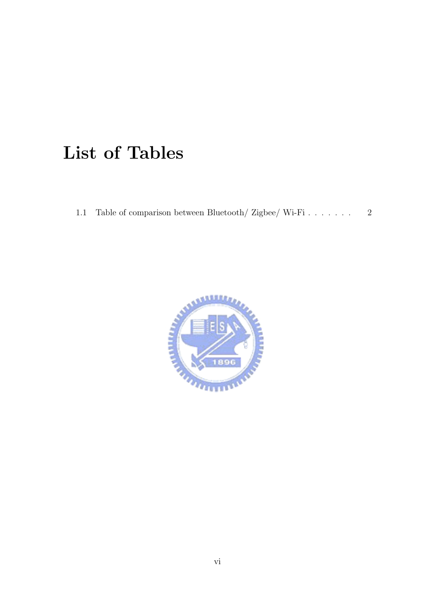# List of Tables

1.1 Table of comparison between Bluetooth/ Zigbee/ Wi-Fi . . . . . . . . 2

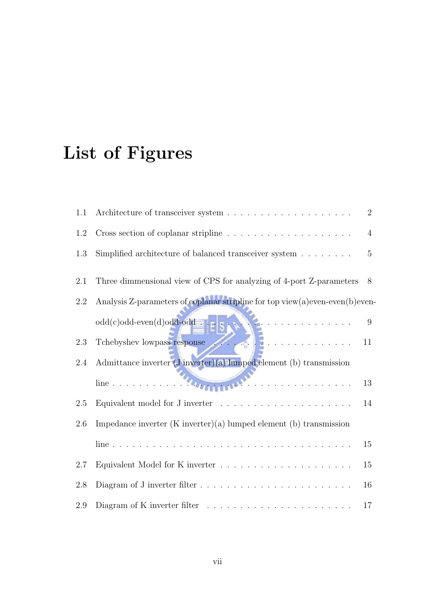# List of Figures

| 1.1     |                                                                                                      | $\overline{2}$ |
|---------|------------------------------------------------------------------------------------------------------|----------------|
| 1.2     | Cross section of coplanar stripline $\ldots \ldots \ldots \ldots \ldots \ldots$                      | $\overline{4}$ |
| 1.3     | Simplified architecture of balanced transceiver system $\ldots \ldots$                               | $\overline{5}$ |
| 2.1     | Three dimmensional view of CPS for analyzing of 4-port Z-parameters                                  | 8              |
| $2.2\,$ | Analysis Z-parameters of coplanar stripline for top view(a)even-even(b)even-                         |                |
|         | $odd(c) odd-even(d) odd-odd$<br>$\mathcal{A}$ , and a set of the set of the set of the $\mathcal{A}$ | 9              |
| 2.3     | <b>NE</b><br>Tchebyshev lowpass response                                                             | 11             |
| 2.4     | Admittance inverter $(J$ inverter $)(a)$ lumped element $(b)$ transmission                           |                |
|         | . The second contract is a second contract of $\mathcal{A}$                                          | 13             |
| 2.5     | Equivalent model for J inverter                                                                      | 14             |
| 2.6     | Impedance inverter $(K$ inverter $(a)$ lumped element $(b)$ transmission                             |                |
|         |                                                                                                      | 15             |
| 2.7     |                                                                                                      | 15             |
| 2.8     | Diagram of J inverter filter $\dots \dots \dots \dots \dots \dots \dots \dots \dots$                 | 16             |
| 2.9     | Diagram of K inverter filter $\dots \dots \dots \dots \dots \dots \dots \dots \dots$                 | 17             |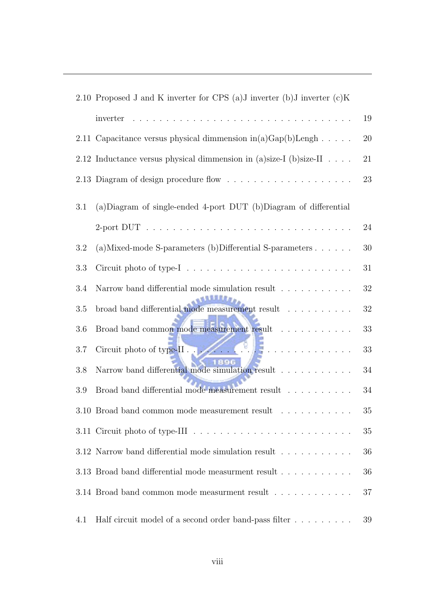|     | 2.10 Proposed J and K inverter for CPS (a) J inverter (b) J inverter $(c)$ K                                                                                                                                                                                                                                                                                                                                                                                                             |    |  |  |  |
|-----|------------------------------------------------------------------------------------------------------------------------------------------------------------------------------------------------------------------------------------------------------------------------------------------------------------------------------------------------------------------------------------------------------------------------------------------------------------------------------------------|----|--|--|--|
|     | inverter                                                                                                                                                                                                                                                                                                                                                                                                                                                                                 |    |  |  |  |
|     | 2.11 Capacitance versus physical dimmension in(a)Gap(b)Lengh                                                                                                                                                                                                                                                                                                                                                                                                                             | 20 |  |  |  |
|     | 2.12 Inductance versus physical dimmension in (a)size-I (b)size-II<br>21                                                                                                                                                                                                                                                                                                                                                                                                                 |    |  |  |  |
|     | 23                                                                                                                                                                                                                                                                                                                                                                                                                                                                                       |    |  |  |  |
| 3.1 | (a) Diagram of single-ended 4-port DUT (b) Diagram of differential                                                                                                                                                                                                                                                                                                                                                                                                                       |    |  |  |  |
|     |                                                                                                                                                                                                                                                                                                                                                                                                                                                                                          | 24 |  |  |  |
| 3.2 | (a) Mixed-mode S-parameters (b) Differential S-parameters $\ldots$ .                                                                                                                                                                                                                                                                                                                                                                                                                     | 30 |  |  |  |
| 3.3 |                                                                                                                                                                                                                                                                                                                                                                                                                                                                                          | 31 |  |  |  |
| 3.4 | 32<br>Narrow band differential mode simulation result                                                                                                                                                                                                                                                                                                                                                                                                                                    |    |  |  |  |
| 3.5 | $\begin{minipage}{.4\linewidth} \textbf{broad band differential mode measurement result} \end{minipage} \begin{minipage}{.4\linewidth} \textbf{c} & \textbf{d} & \textbf{e} & \textbf{d} & \textbf{f} & \textbf{e} & \textbf{f} & \textbf{f} & \textbf{f} & \textbf{f} & \textbf{f} & \textbf{f} & \textbf{f} & \textbf{f} & \textbf{f} & \textbf{f} & \textbf{f} & \textbf{f} & \textbf{f} & \textbf{f} & \textbf{f} & \textbf{f} & \textbf{f} & \textbf{f} & \textbf{f} & \text$<br>32 |    |  |  |  |
| 3.6 | Broad band common mode measurement result<br>33                                                                                                                                                                                                                                                                                                                                                                                                                                          |    |  |  |  |
| 3.7 | Circuit photo of type-II                                                                                                                                                                                                                                                                                                                                                                                                                                                                 | 33 |  |  |  |
| 3.8 | Narrow band differential mode simulation result<br>34                                                                                                                                                                                                                                                                                                                                                                                                                                    |    |  |  |  |
| 3.9 | Broad band differential mode measurement result $\ldots \ldots \ldots$                                                                                                                                                                                                                                                                                                                                                                                                                   | 34 |  |  |  |
|     | 3.10 Broad band common mode measurement result<br>$\mathcal{L}$ . The set of the set of the set of the $\mathcal{L}$                                                                                                                                                                                                                                                                                                                                                                     | 35 |  |  |  |
|     |                                                                                                                                                                                                                                                                                                                                                                                                                                                                                          | 35 |  |  |  |
|     | 3.12 Narrow band differential mode simulation result<br>36                                                                                                                                                                                                                                                                                                                                                                                                                               |    |  |  |  |
|     | 3.13 Broad band differential mode measurment result<br>36                                                                                                                                                                                                                                                                                                                                                                                                                                |    |  |  |  |
|     | 3.14 Broad band common mode measurment result $\ldots \ldots \ldots \ldots$                                                                                                                                                                                                                                                                                                                                                                                                              | 37 |  |  |  |
| 4.1 | Half circuit model of a second order band-pass filter                                                                                                                                                                                                                                                                                                                                                                                                                                    | 39 |  |  |  |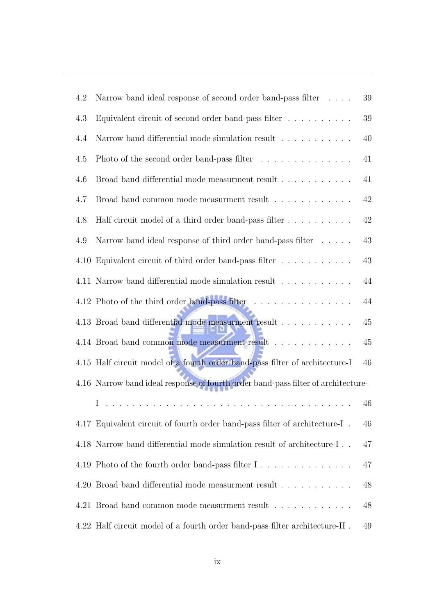| 4.2     | Narrow band ideal response of second order band-pass filter $\phantom{1} \ldots \phantom{1}$ .<br>$39\,$     |        |  |  |
|---------|--------------------------------------------------------------------------------------------------------------|--------|--|--|
| $4.3\,$ | Equivalent circuit of second order band-pass filter $\ldots \ldots \ldots$                                   | $39\,$ |  |  |
| 4.4     | Narrow band differential mode simulation result $\ldots \ldots \ldots$                                       | 40     |  |  |
| 4.5     | Photo of the second order band-pass filter $\ldots \ldots \ldots \ldots$                                     | 41     |  |  |
| 4.6     | Broad band differential mode measurment result                                                               | 41     |  |  |
| 4.7     | Broad band common mode measurment result $\ldots \ldots \ldots \ldots$                                       | 42     |  |  |
| 4.8     | Half circuit model of a third order band-pass filter                                                         | 42     |  |  |
| 4.9     | Narrow band ideal response of third order band-pass filter                                                   | 43     |  |  |
|         | 4.10 Equivalent circuit of third order band-pass filter                                                      | 43     |  |  |
|         | 4.11 Narrow band differential mode simulation result                                                         | 44     |  |  |
|         | 4.12 Photo of the third order band-pass filter                                                               | 44     |  |  |
|         | 4.13 Broad band differential mode measurment result                                                          | 45     |  |  |
|         | 4.14 Broad band common mode measurment result                                                                | $45\,$ |  |  |
|         | 4.15 Half circuit model of a fourth order band-pass filter of architecture-I                                 | 46     |  |  |
|         | 4.16 Narrow band ideal response of fourth order band-pass filter of architecture-                            |        |  |  |
|         | a de la caractería de la caractería de la caractería de la caractería de la caractería de la caractería<br>Ι | 46     |  |  |
|         | 4.17 Equivalent circuit of fourth order band-pass filter of architecture-I.                                  | 46     |  |  |
|         | 4.18 Narrow band differential mode simulation result of architecture-I                                       | 47     |  |  |
|         |                                                                                                              | 47     |  |  |
|         | 4.20 Broad band differential mode measurment result                                                          | 48     |  |  |
|         | 4.21 Broad band common mode measurment result $\ldots \ldots \ldots \ldots$                                  | 48     |  |  |
|         | 4.22 Half circuit model of a fourth order band-pass filter architecture-II.                                  | 49     |  |  |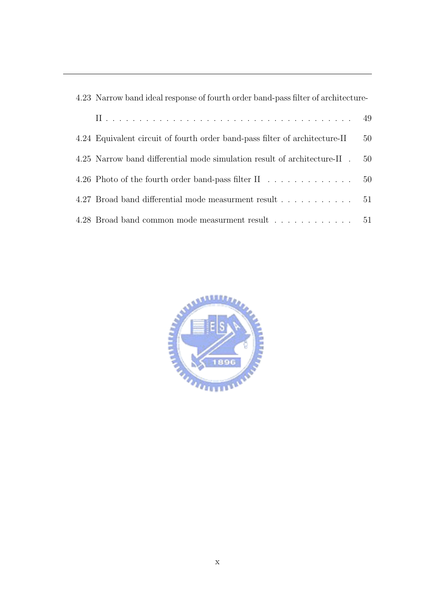| 4.23 Narrow band ideal response of fourth order band-pass filter of architecture- |    |  |  |
|-----------------------------------------------------------------------------------|----|--|--|
|                                                                                   | 49 |  |  |
| 4.24 Equivalent circuit of fourth order band-pass filter of architecture-II       | 50 |  |  |
| 4.25 Narrow band differential mode simulation result of architecture-II.          | 50 |  |  |
| 4.26 Photo of the fourth order band-pass filter II 50                             |    |  |  |
| 4.27 Broad band differential mode measurment result 51                            |    |  |  |
| 4.28 Broad band common mode measurment result 51                                  |    |  |  |

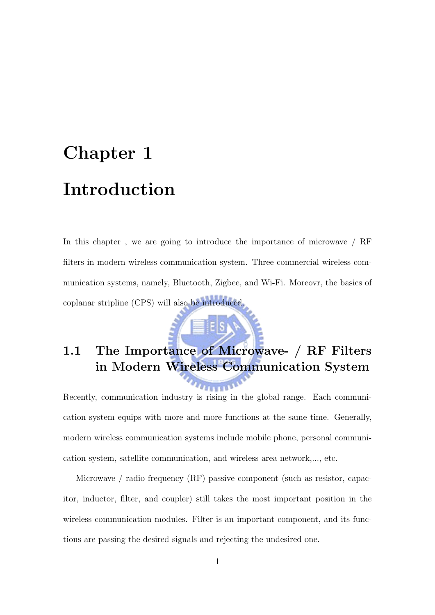# Chapter 1 Introduction

In this chapter, we are going to introduce the importance of microwave / RF filters in modern wireless communication system. Three commercial wireless communication systems, namely, Bluetooth, Zigbee, and Wi-Fi. Moreovr, the basics of coplanar stripline (CPS) will also be introduced.

# 1.1 The Importance of Microwave- / RF Filters in Modern Wireless Communication System

Recently, communication industry is rising in the global range. Each communication system equips with more and more functions at the same time. Generally, modern wireless communication systems include mobile phone, personal communication system, satellite communication, and wireless area network,..., etc.

Microwave / radio frequency (RF) passive component (such as resistor, capacitor, inductor, filter, and coupler) still takes the most important position in the wireless communication modules. Filter is an important component, and its functions are passing the desired signals and rejecting the undesired one.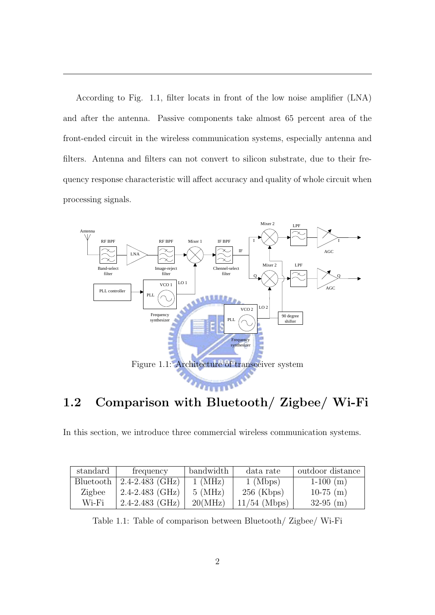According to Fig. 1.1, filter locats in front of the low noise amplifier (LNA) and after the antenna. Passive components take almost 65 percent area of the front-ended circuit in the wireless communication systems, especially antenna and filters. Antenna and filters can not convert to silicon substrate, due to their frequency response characteristic will affect accuracy and quality of whole circuit when processing signals.



### 3 1.2 Comparison with Bluetooth/ Zigbee/ Wi-Fi

In this section, we introduce three commercial wireless communication systems.

| standard  | frequency               | bandwidth    | data rate             | outdoor distance |
|-----------|-------------------------|--------------|-----------------------|------------------|
| Bluetooth | $\vert$ 2.4-2.483 (GHz) | $1 \, (MHz)$ | $1 \,\mathrm{(Mbps)}$ | $1-100$ (m)      |
| Zigbee    | $2.4 - 2.483$ (GHz)     | $5 \, (MHz)$ | $256$ (Kbps)          | $10-75$ (m)      |
| Wi-Fi     | $2.4 - 2.483$ (GHz)     | 20(MHz)      | $11/54$ (Mbps)        | $32-95$ (m)      |

Table 1.1: Table of comparison between Bluetooth/ Zigbee/ Wi-Fi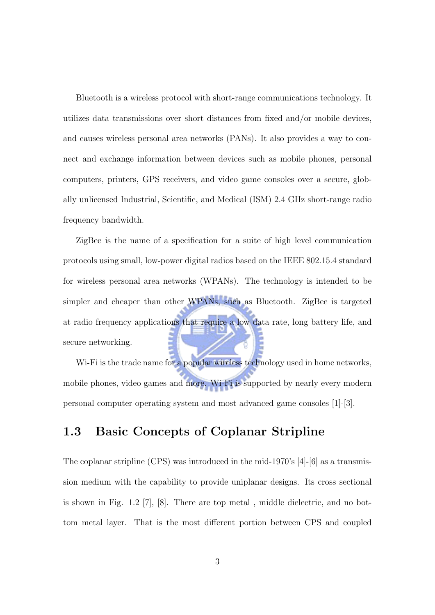Bluetooth is a wireless protocol with short-range communications technology. It utilizes data transmissions over short distances from fixed and/or mobile devices, and causes wireless personal area networks (PANs). It also provides a way to connect and exchange information between devices such as mobile phones, personal computers, printers, GPS receivers, and video game consoles over a secure, globally unlicensed Industrial, Scientific, and Medical (ISM) 2.4 GHz short-range radio frequency bandwidth.

ZigBee is the name of a specification for a suite of high level communication protocols using small, low-power digital radios based on the IEEE 802.15.4 standard for wireless personal area networks (WPANs). The technology is intended to be simpler and cheaper than other WPANs, such as Bluetooth. ZigBee is targeted at radio frequency applications that require a low data rate, long battery life, and secure networking.

Wi-Fi is the trade name for a popular wireless technology used in home networks, mobile phones, video games and more. Wi-Fi is supported by nearly every modern personal computer operating system and most advanced game consoles [1]-[3].

#### 1.3 Basic Concepts of Coplanar Stripline

The coplanar stripline (CPS) was introduced in the mid-1970's [4]-[6] as a transmission medium with the capability to provide uniplanar designs. Its cross sectional is shown in Fig. 1.2 [7], [8]. There are top metal , middle dielectric, and no bottom metal layer. That is the most different portion between CPS and coupled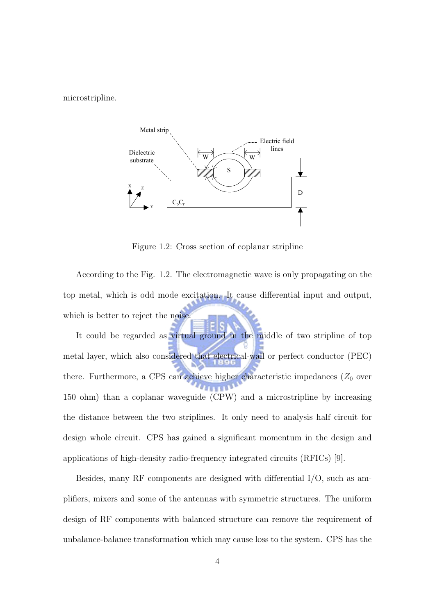microstripline.



Figure 1.3 Cross section of coplanar stripline Figure 1.2: Cross section of coplanar stripline

According to the Fig. 1.2. The electromagnetic wave is only propagating on the top metal, which is odd mode excitation. It cause differential input and output, which is better to reject the noise.

It could be regarded as virtual ground in the middle of two stripline of top metal layer, which also considered that electrical-wall or perfect conductor (PEC) there. Furthermore, a CPS can achieve higher characteristic impedances  $(Z_0$  over 150 ohm) than a coplanar waveguide (CPW) and a microstripline by increasing the distance between the two striplines. It only need to analysis half circuit for design whole circuit. CPS has gained a significant momentum in the design and applications of high-density radio-frequency integrated circuits (RFICs) [9].

Besides, many RF components are designed with differential I/O, such as amplifiers, mixers and some of the antennas with symmetric structures. The uniform design of RF components with balanced structure can remove the requirement of unbalance-balance transformation which may cause loss to the system. CPS has the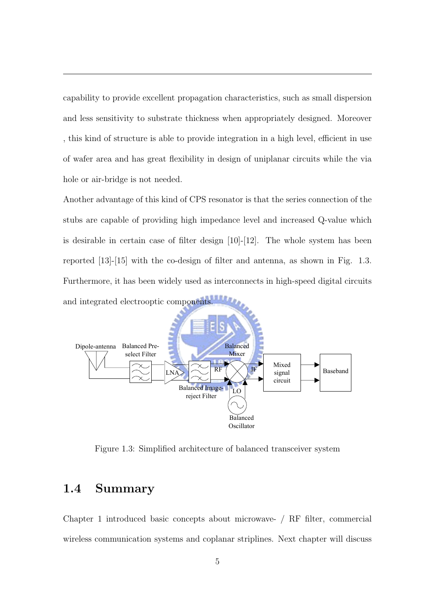capability to provide excellent propagation characteristics, such as small dispersion and less sensitivity to substrate thickness when appropriately designed. Moreover , this kind of structure is able to provide integration in a high level, efficient in use of wafer area and has great flexibility in design of uniplanar circuits while the via hole or air-bridge is not needed.

Another advantage of this kind of CPS resonator is that the series connection of the stubs are capable of providing high impedance level and increased Q-value which is desirable in certain case of filter design [10]-[12]. The whole system has been reported [13]-[15] with the co-design of filter and antenna, as shown in Fig. 1.3. Furthermore, it has been widely used as interconnects in high-speed digital circuits and integrated electrooptic components.



Figure 1.3: Simplified architecture of balanced transceiver system

#### 1.4 Summary

Chapter 1 introduced basic concepts about microwave- / RF filter, commercial wireless communication systems and coplanar striplines. Next chapter will discuss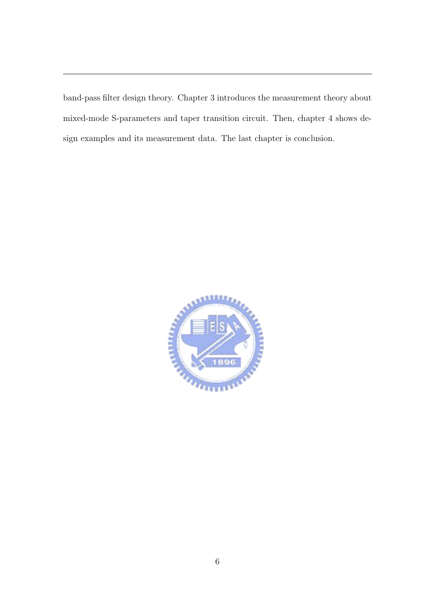band-pass filter design theory. Chapter 3 introduces the measurement theory about mixed-mode S-parameters and taper transition circuit. Then, chapter 4 shows design examples and its measurement data. The last chapter is conclusion.

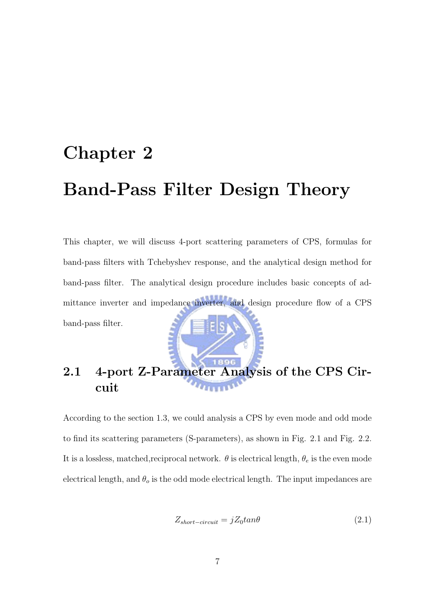# Chapter 2 Band-Pass Filter Design Theory

This chapter, we will discuss 4-port scattering parameters of CPS, formulas for band-pass filters with Tchebyshev response, and the analytical design method for band-pass filter. The analytical design procedure includes basic concepts of admittance inverter and impedance inverter, and design procedure flow of a CPS band-pass filter.



### 2.1 4-port Z-Parameter Analysis of the CPS Circuit

According to the section 1.3, we could analysis a CPS by even mode and odd mode to find its scattering parameters (S-parameters), as shown in Fig. 2.1 and Fig. 2.2. It is a lossless, matched, reciprocal network.  $\theta$  is electrical length,  $\theta_e$  is the even mode electrical length, and  $\theta_o$  is the odd mode electrical length. The input impedances are

$$
Z_{short-circuit} = jZ_0 \tan \theta \tag{2.1}
$$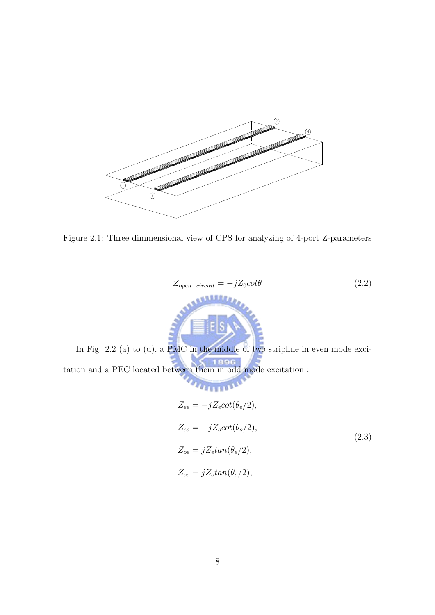

Figure 1.1 Architecture of transceiver system

Figure 2.1: Three dimmensional view of CPS for analyzing of 4-port Z-parameters

$$
Z_{open-circuit} = -jZ_0 \cot \theta
$$
\n(2.2)

 $\mathbf{v}$ ıd In Fig. 2.2 (a) to (d), a PMC in the middle of two stripline in even mode exci-

tation and a PEC located between them in odd mode excitation :

$$
Z_{ee} = -jZ_e \cot(\theta_e/2),
$$
  
\n
$$
Z_{eo} = -jZ_o \cot(\theta_o/2),
$$
  
\n
$$
Z_{oe} = jZ_e \tan(\theta_e/2),
$$
  
\n
$$
Z_{oo} = jZ_o \tan(\theta_o/2),
$$
  
\n(2.3)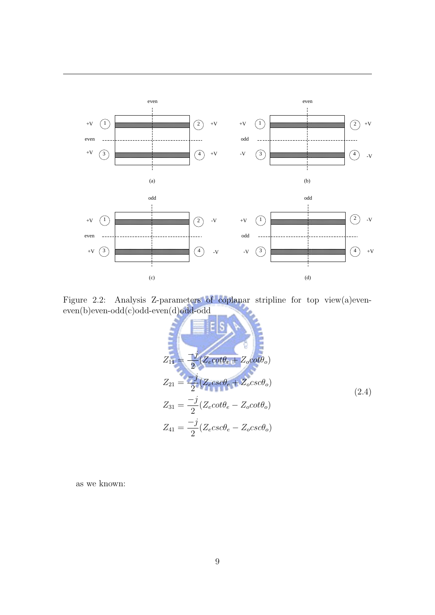

Figure 2.1 Analysis s-parameter of coplanar strip

 $F_{\rm eff}$   $\sim$   $2.2$   $\mu$   $\sim$   $2.2$   $\mu$   $\sim$   $2.2$   $\mu$   $\sim$   $2.2$   $\mu$   $\sim$   $2.2$   $\mu$   $\sim$   $2.2$   $\mu$   $\sim$   $2.2$   $\mu$   $\sim$   $2.2$   $\mu$   $\sim$   $2.2$   $\mu$   $\sim$   $2.2$   $\mu$   $\sim$   $2.2$   $\mu$   $\sim$   $2.2$   $\mu$   $\sim$   $2.2$   $\mu$   $\sim$  $\mathbf{a}(\mathbf{d})$ odd-odd (c) even-odd (c) even-odd (c) odd-odd (c) odd-odd (c) odd-odd (c) odd-odd (c) odd-odd (c) odd-odd (c) odd-odd (c) odd-odd (c) odd (c) odd (c) odd (c) odd (c) odd (c) odd (c) odd (c) odd (c) odd (c) o Figure 2.2: Analysis Z-parameters of coplanar stripline for top view(a)eveneven(b)even-odd(c)odd-even(d)odd-odd

$$
Z_{11} = \frac{-j}{2} (Z_e \cot \theta_e + Z_o \cot \theta_o)
$$
  
\n
$$
Z_{21} = \frac{-j}{2} (Z_e \csc \theta_e + Z_o \csc \theta_o)
$$
  
\n
$$
Z_{31} = \frac{-j}{2} (Z_e \cot \theta_e - Z_o \cot \theta_o)
$$
  
\n
$$
Z_{41} = \frac{-j}{2} (Z_e \csc \theta_e - Z_o \csc \theta_o)
$$
\n(2.4)

as we known: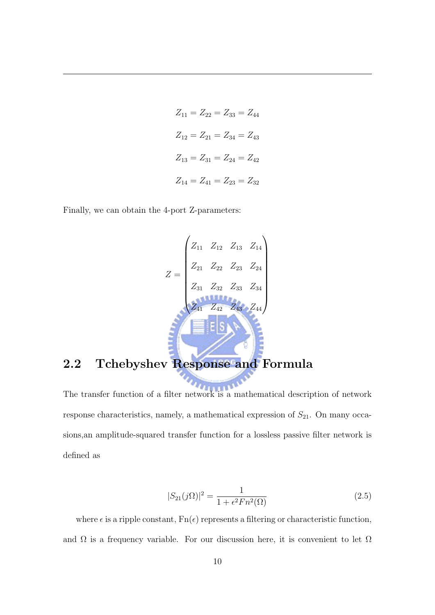$$
Z_{11} = Z_{22} = Z_{33} = Z_{44}
$$

$$
Z_{12} = Z_{21} = Z_{34} = Z_{43}
$$

$$
Z_{13} = Z_{31} = Z_{24} = Z_{42}
$$

$$
Z_{14} = Z_{41} = Z_{23} = Z_{32}
$$

Finally, we can obtain the 4-port Z-parameters:

$$
Z = \begin{pmatrix} Z_{11} & Z_{12} & Z_{13} & Z_{14} \\ Z_{21} & Z_{22} & Z_{23} & Z_{24} \\ Z_{31} & Z_{32} & Z_{33} & Z_{34} \\ Z_{41} & Z_{42} & Z_{43} & Z_{44} \end{pmatrix}
$$

#### 2.2 Tchebyshev Response and Formula

The transfer function of a filter network is a mathematical description of network response characteristics, namely, a mathematical expression of  $S_{21}$ . On many occasions,an amplitude-squared transfer function for a lossless passive filter network is defined as

$$
|S_{21}(j\Omega)|^2 = \frac{1}{1 + \epsilon^2 F n^2(\Omega)}\tag{2.5}
$$

where  $\epsilon$  is a ripple constant,  $Fn(\epsilon)$  represents a filtering or characteristic function, and  $\Omega$  is a frequency variable. For our discussion here, it is convenient to let  $\Omega$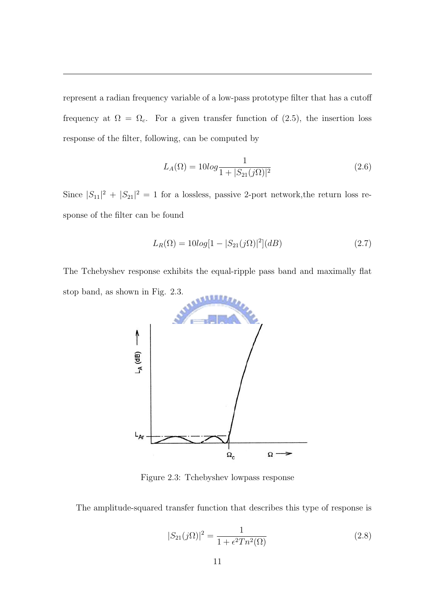represent a radian frequency variable of a low-pass prototype filter that has a cutoff frequency at  $\Omega = \Omega_c$ . For a given transfer function of (2.5), the insertion loss response of the filter, following, can be computed by

$$
L_A(\Omega) = 10\log \frac{1}{1 + |S_{21}(j\Omega)|^2}
$$
\n(2.6)

Since  $|S_{11}|^2 + |S_{21}|^2 = 1$  for a lossless, passive 2-port network, the return loss response of the filter can be found

$$
L_R(\Omega) = 10\log[1 - |S_{21}(j\Omega)|^2](dB)
$$
\n(2.7)

The Tchebyshev response exhibits the equal-ripple pass band and maximally flat stop band, as shown in Fig. 2.3.



Figure 2.3: Tchebyshev lowpass response

The amplitude-squared transfer function that describes this type of response is

$$
|S_{21}(j\Omega)|^2 = \frac{1}{1 + \epsilon^2 T n^2(\Omega)}\tag{2.8}
$$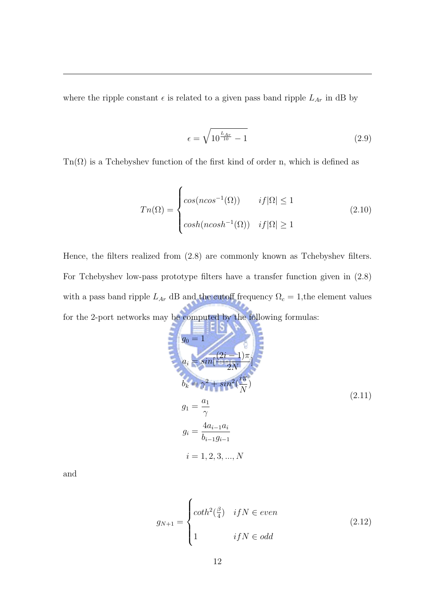where the ripple constant  $\epsilon$  is related to a given pass band ripple  $L_{Ar}$  in dB by

$$
\epsilon = \sqrt{10^{\frac{L_{Ar}}{10}} - 1} \tag{2.9}
$$

 $\text{Tr}(\Omega)$  is a Tchebyshev function of the first kind of order n, which is defined as

$$
Tn(\Omega) = \begin{cases} \cos(n\cos^{-1}(\Omega)) & \text{if } |\Omega| \le 1\\ \cosh(n\cosh^{-1}(\Omega)) & \text{if } |\Omega| \ge 1 \end{cases} \tag{2.10}
$$

Hence, the filters realized from (2.8) are commonly known as Tchebyshev filters. For Tchebyshev low-pass prototype filters have a transfer function given in (2.8) with a pass band ripple  $L_{Ar}$  dB and the cutoff frequency  $\Omega_c = 1$ , the element values for the 2-port networks may be computed by the following formulas:

$$
g_0 = 1
$$
  
\n
$$
g_0 = 1
$$
  
\n
$$
a_i = \sin[-\frac{2i - 1}{2N}]
$$
  
\n
$$
b_k = \gamma^2 + \sin^2(\frac{i\pi}{N})
$$
  
\n
$$
g_1 = \frac{a_1}{\gamma}
$$
  
\n
$$
g_i = \frac{4a_{i-1}a_i}{b_{i-1}g_{i-1}}
$$
  
\n
$$
i = 1, 2, 3, ..., N
$$
  
\n(2.11)

and

$$
g_{N+1} = \begin{cases} \coth^2(\frac{\beta}{4}) & \text{if } N \in \text{even} \\ 1 & \text{if } N \in \text{odd} \end{cases} \tag{2.12}
$$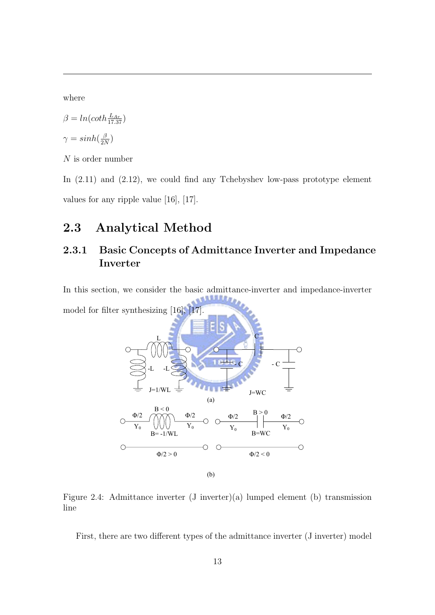where

$$
\beta = \ln(\coth \frac{L_{Ar}}{17.37})
$$
  

$$
\gamma = \sinh(\frac{\beta}{2N})
$$

 $N$  is order number

In  $(2.11)$  and  $(2.12)$ , we could find any Tchebyshev low-pass prototype element values for any ripple value [16], [17].

#### 2.3 Analytical Method

#### 2.3.1 Basic Concepts of Admittance Inverter and Impedance Inverter

In this section, we consider the basic admittance-inverter and impedance-inverter **AJULAR** model for filter synthesizing  $[16]$ ,



Figure 2.4: Admittance inverter (J inverter)(a) lumped element (b) transmission line

First, there are two different types of the admittance inverter (J inverter) model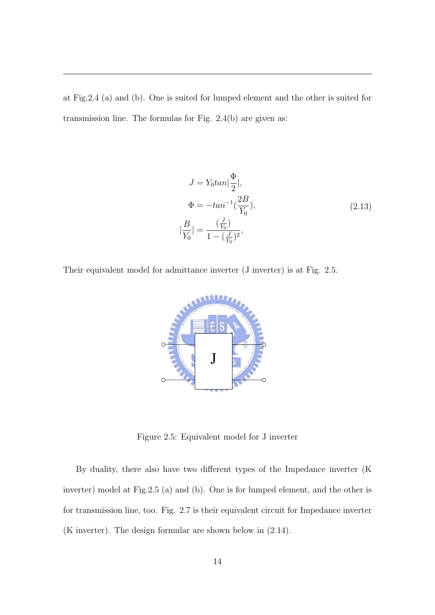at Fig.2.4 (a) and (b). One is suited for lumped element and the other is suited for transmission line. The formulas for Fig.  $2.4(b)$  are given as:

$$
J = Y_0 \tan \left| \frac{\Phi}{2} \right|,
$$
  
\n
$$
\Phi = -\tan^{-1} \left( \frac{2B}{Y_0} \right),
$$
  
\n
$$
|\frac{B}{Y_0}| = \frac{\left( \frac{J}{Y_0} \right)}{1 - \left( \frac{J}{Y_0} \right)^2},
$$
\n(2.13)

Their equivalent model for admittance inverter (J inverter) is at Fig. 2.5.



Figure 2.5: Equivalent model for J inverter

inverter) model at Fig.2.5 (a) and (b). One is for lumped element, and the other is By duality, there also have two different types of the Impedance inverter (K for transmission line, too. Fig. 2.7 is their equivalent circuit for Impedance inverter (K inverter). The design formular are shown below in (2.14).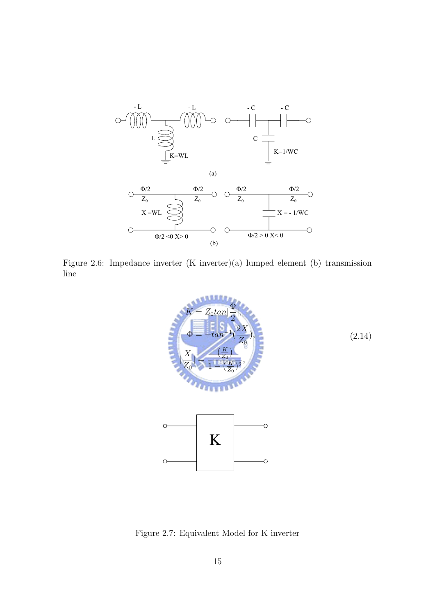

Figure 2.3.1 Admittance inverter (J-inverter)

Figure 2.6: Impedance inverter  $(K$  inverter) $(a)$  lumped element  $(b)$  transmission line



Figure 2.7: Equivalent Model for K inverter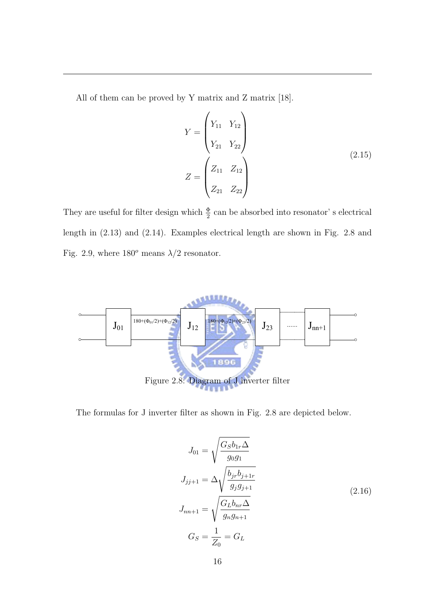All of them can be proved by Y matrix and Z matrix [18].

Port 3

$$
Y = \begin{pmatrix} Y_{11} & Y_{12} \\ Y_{21} & Y_{22} \end{pmatrix}
$$
  

$$
Z = \begin{pmatrix} Z_{11} & Z_{12} \\ Z_{21} & Z_{22} \end{pmatrix}
$$
 (2.15)

Port 4

They are useful for filter design which  $\frac{\Phi}{2}$  can be absorbed into resonator' s electrical length in (2.13) and (2.14). Examples electrical length are shown in Fig. 2.8 and Fig. 2.9, where  $180^o$  means  $\lambda/2$  resonator.



The formulas for J inverter filter as shown in Fig. 2.8 are depicted below.

$$
J_{01} = \sqrt{\frac{G_S b_{1r} \Delta}{g_0 g_1}}
$$
  
\n
$$
J_{jj+1} = \Delta \sqrt{\frac{b_{jr} b_{j+1r}}{g_j g_{j+1}}}
$$
  
\n
$$
J_{nn+1} = \sqrt{\frac{G_L b_{nr} \Delta}{g_n g_{n+1}}}
$$
  
\n
$$
G_S = \frac{1}{Z_0} = G_L
$$
\n(2.16)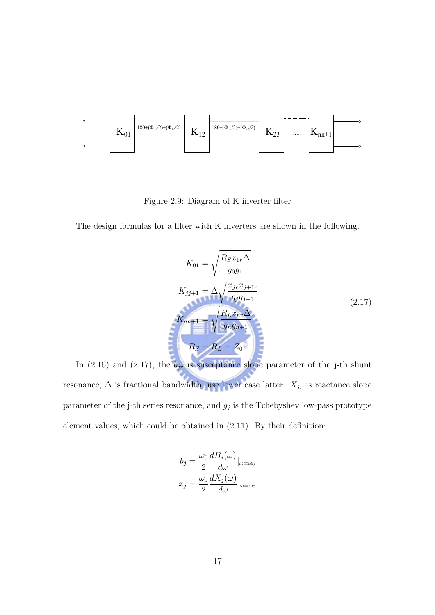

Figure 2.9: Diagram of K inverter filter

The design formulas for a filter with K inverters are shown in the following.

$$
K_{01} = \sqrt{\frac{R_S x_{1r} \Delta}{g_0 g_1}}
$$
  
\n
$$
K_{jj+1} = \Delta \sqrt{\frac{x_{jr} x_{j+1r}}{g_j g_{j+1}}}
$$
  
\n
$$
K_{nn+1} = \sqrt{\frac{R_L x_{nr} \Delta}{g_n g_{n+1}}}
$$
  
\n
$$
R_S = R_L = Z_0
$$
  
\n(2.17)

In (2.16) and (2.17), the  $b_{jr}$  is susceptance slope parameter of the j-th shunt resonance,  $\Delta$  is fractional bandwidth, use lower case latter.  $X_{jr}$  is reactance slope parameter of the j-th series resonance, and  $g_j$  is the Tchebyshev low-pass prototype element values, which could be obtained in (2.11). By their definition:

$$
b_j = \frac{\omega_0}{2} \frac{dB_j(\omega)}{d\omega} |_{\omega = \omega_0}
$$

$$
x_j = \frac{\omega_0}{2} \frac{dX_j(\omega)}{d\omega} |_{\omega = \omega_0}
$$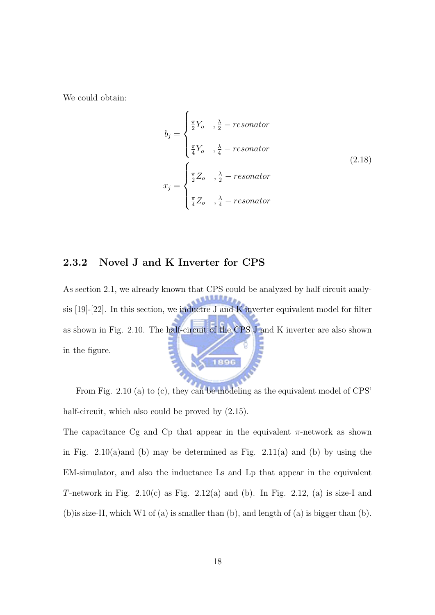We could obtain:

$$
b_j = \begin{cases} \frac{\pi}{2}Y_o & , \frac{\lambda}{2} - resonator \\ \frac{\pi}{4}Y_o & , \frac{\lambda}{4} - resonator \end{cases}
$$
  

$$
x_j = \begin{cases} \frac{\pi}{2}Z_o & , \frac{\lambda}{2} - resonator \\ \frac{\pi}{4}Z_o & , \frac{\lambda}{4} - resonator \end{cases}
$$
 (2.18)

#### 2.3.2 Novel J and K Inverter for CPS

As section 2.1, we already known that CPS could be analyzed by half circuit analysis [19]-[22]. In this section, we inductre J and K inverter equivalent model for filter as shown in Fig. 2.10. The half-circuit of the CPS J and K inverter are also shown in the figure. 1896

From Fig. 2.10 (a) to (c), they can be modeling as the equivalent model of CPS' half-circuit, which also could be proved by  $(2.15)$ .

The capacitance Cg and Cp that appear in the equivalent  $\pi$ -network as shown in Fig. 2.10(a)and (b) may be determined as Fig. 2.11(a) and (b) by using the EM-simulator, and also the inductance Ls and Lp that appear in the equivalent T-network in Fig.  $2.10(c)$  as Fig.  $2.12(a)$  and (b). In Fig.  $2.12$ , (a) is size-I and (b)is size-II, which W1 of (a) is smaller than (b), and length of (a) is bigger than (b).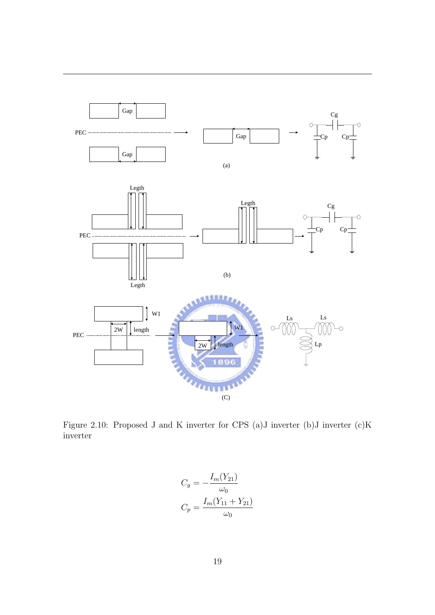

Figure 2.10: Proposed J and K inverter for CPS (a)J inverter (b)J inverter (c)K inverter

$$
C_g = -\frac{I_m(Y_{21})}{\omega_0}
$$

$$
C_p = \frac{I_m(Y_{11} + Y_{21})}{\omega_0}
$$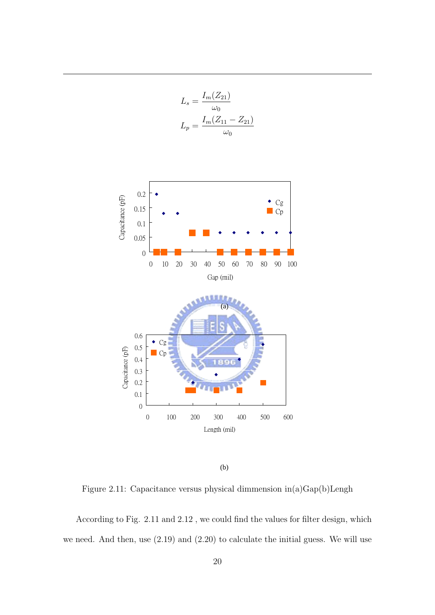$$
L_s = \frac{I_m(Z_{21})}{\omega_0}
$$

$$
L_p = \frac{I_m(Z_{11} - Z_{21})}{\omega_0}
$$



(b)

Figure 2.11: Capacitance versus physical dimmension in(a)Gap(b)Lengh

According to Fig. 2.11 and 2.12 , we could find the values for filter design, which we need. And then, use (2.19) and (2.20) to calculate the initial guess. We will use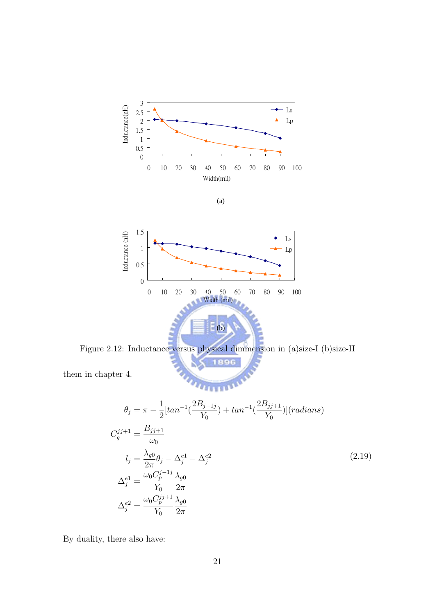

(a)



Figure 2.12: Inductance versus physical dimmension in (a)size-I (b)size-II ţ é 896

them in chapter 4.

$$
\theta_{j} = \pi - \frac{1}{2} [tan^{-1}(\frac{2B_{j-1j}}{Y_0}) + tan^{-1}(\frac{2B_{jj+1}}{Y_0})](radians)
$$
  
\n
$$
C_{g}^{jj+1} = \frac{B_{jj+1}}{\omega_{0}}
$$
  
\n
$$
l_{j} = \frac{\lambda_{g0}}{2\pi} \theta_{j} - \Delta_{j}^{e1} - \Delta_{j}^{e2}
$$
  
\n
$$
\Delta_{j}^{e1} = \frac{\omega_{0} C_{p}^{j-1j}}{Y_0} \frac{\lambda_{g0}}{2\pi}
$$
  
\n
$$
\Delta_{j}^{e2} = \frac{\omega_{0} C_{p}^{jj+1}}{Y_0} \frac{\lambda_{g0}}{2\pi}
$$
  
\n(2.19)

By duality, there also have: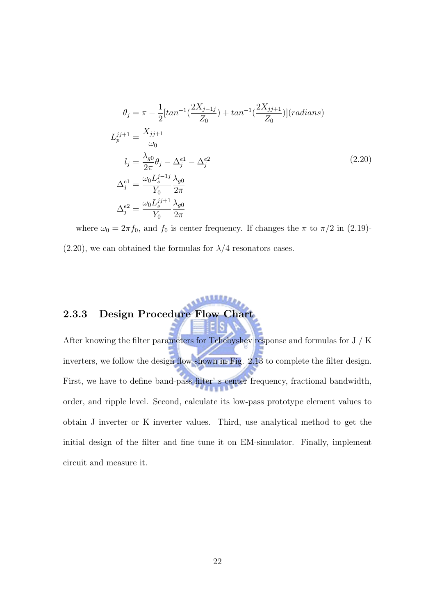$$
\theta_{j} = \pi - \frac{1}{2} [tan^{-1}(\frac{2X_{j-1j}}{Z_{0}}) + tan^{-1}(\frac{2X_{jj+1}}{Z_{0}})](radians)
$$
  
\n
$$
L_{p}^{jj+1} = \frac{X_{jj+1}}{\omega_{0}}
$$
  
\n
$$
l_{j} = \frac{\lambda_{g0}}{2\pi} \theta_{j} - \Delta_{j}^{e1} - \Delta_{j}^{e2}
$$
  
\n
$$
\Delta_{j}^{e1} = \frac{\omega_{0} L_{s}^{j-1j}}{Y_{0}} \frac{\lambda_{g0}}{2\pi}
$$
  
\n
$$
\Delta_{j}^{e2} = \frac{\omega_{0} L_{s}^{jj+1}}{Y_{0}} \frac{\lambda_{g0}}{2\pi}
$$
  
\n(2.20)

where  $\omega_0 = 2\pi f_0$ , and  $f_0$  is center frequency. If changes the  $\pi$  to  $\pi/2$  in (2.19)- $(2.20)$ , we can obtained the formulas for  $\lambda/4$  resonators cases.

**SALLAS** 

### 2.3.3 Design Procedure Flow Chart

After knowing the filter parameters for Tchebyshev response and formulas for J / K inverters, we follow the design flow shown in Fig. 2.13 to complete the filter design. First, we have to define band-pass filter' s center frequency, fractional bandwidth, order, and ripple level. Second, calculate its low-pass prototype element values to obtain J inverter or K inverter values. Third, use analytical method to get the initial design of the filter and fine tune it on EM-simulator. Finally, implement circuit and measure it.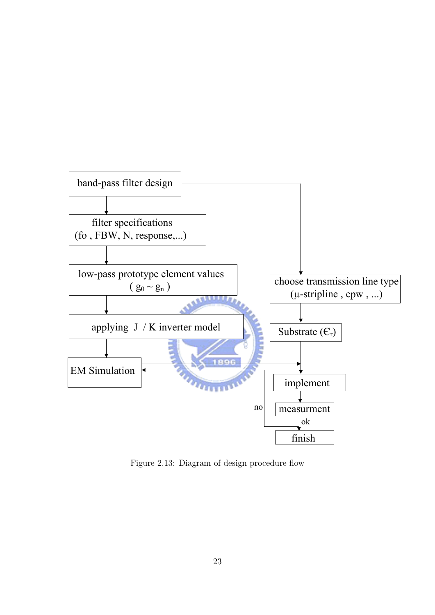

Figure 2.13: Diagram of design procedure flow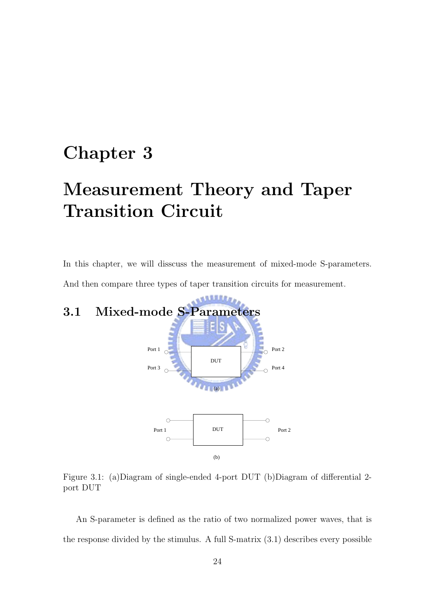# Chapter 3

# Measurement Theory and Taper Transition Circuit

In this chapter, we will disscuss the measurement of mixed-mode S-parameters. And then compare three types of taper transition circuits for measurement.

# 3.1 Mixed-mode S-Parameters



Figure 3.1: (a)Diagram of single-ended 4-port DUT (b)Diagram of differential 2 port DUT

An S-parameter is defined as the ratio of two normalized power waves, that is the response divided by the stimulus. A full S-matrix (3.1) describes every possible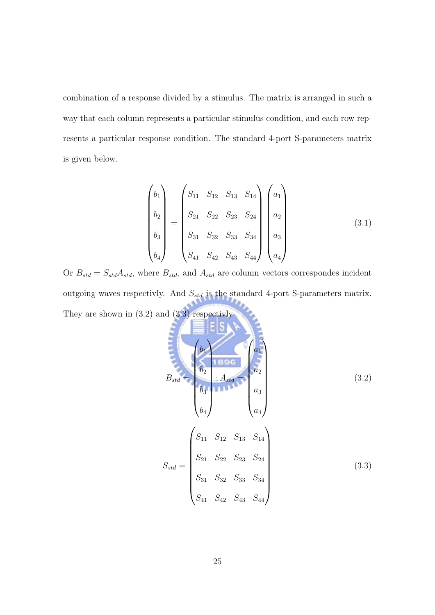combination of a response divided by a stimulus. The matrix is arranged in such a way that each column represents a particular stimulus condition, and each row represents a particular response condition. The standard 4-port S-parameters matrix is given below.

$$
\begin{pmatrix} b_1 \\ b_2 \\ b_3 \\ b_4 \end{pmatrix} = \begin{pmatrix} S_{11} & S_{12} & S_{13} & S_{14} \\ S_{21} & S_{22} & S_{23} & S_{24} \\ S_{31} & S_{32} & S_{33} & S_{34} \\ S_{41} & S_{42} & S_{43} & S_{44} \end{pmatrix} \begin{pmatrix} a_1 \\ a_2 \\ a_3 \\ a_4 \end{pmatrix} \tag{3.1}
$$

Or  $B_{std} = S_{std}A_{std}$ , where  $B_{std}$ , and  $A_{std}$  are column vectors correspondes incident outgoing waves respectivly. And  $S_{std}$  is the standard 4-port S-parameters matrix. They are shown in  $(3.2)$  and  $(3.3)$  respectivly.

$$
B_{std} = \begin{pmatrix} b_1 & b_2 & b_3 \\ b_2 & b_3 & b_4 \\ b_4 & b_5 & b_6 \end{pmatrix}
$$
  
\n
$$
S_{std} = \begin{pmatrix} S_{11} & S_{12} & S_{13} & S_{14} \\ S_{21} & S_{22} & S_{23} & S_{24} \\ S_{31} & S_{32} & S_{33} & S_{34} \\ S_{41} & S_{42} & S_{43} & S_{44} \end{pmatrix}
$$
  
\n(3.3)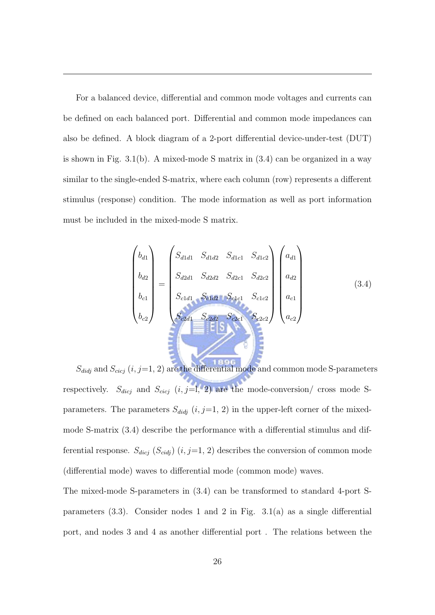For a balanced device, differential and common mode voltages and currents can be defined on each balanced port. Differential and common mode impedances can also be defined. A block diagram of a 2-port differential device-under-test (DUT) is shown in Fig.  $3.1(b)$ . A mixed-mode S matrix in  $(3.4)$  can be organized in a way similar to the single-ended S-matrix, where each column (row) represents a different stimulus (response) condition. The mode information as well as port information must be included in the mixed-mode S matrix.

$$
\begin{pmatrix}\nb_{d1} \\
b_{d2} \\
b_{c1} \\
b_{c2}\n\end{pmatrix} = \begin{pmatrix}\nS_{d1d1} & S_{d1d2} & S_{d1c1} & S_{d1c2} \\
S_{d2d1} & S_{d2d2} & S_{d2c1} & S_{d2c2} \\
S_{c1d1} & S_{c1d2} & S_{c1c1} & S_{c1c2} \\
S_{c2d1} & S_{c2d2} & S_{c2c1} & S_{c2c2}\n\end{pmatrix}\begin{pmatrix}\na_{d1} \\
a_{d2} \\
a_{d2} \\
a_{c1} \\
a_{c2}\n\end{pmatrix}
$$
\n(3.4)

 $S_{didj}$  and  $S_{cicj}$   $(i, j=1, 2)$  are the differential mode and common mode S-parameters respectively.  $S_{dicj}$  and  $S_{cicj}$  (i, j=l, 2) are the mode-conversion/ cross mode Sparameters. The parameters  $S_{didj}$   $(i, j=1, 2)$  in the upper-left corner of the mixedmode S-matrix (3.4) describe the performance with a differential stimulus and differential response.  $S_{dicj}$   $(S_{cidj})$   $(i, j=1, 2)$  describes the conversion of common mode (differential mode) waves to differential mode (common mode) waves.

The mixed-mode S-parameters in (3.4) can be transformed to standard 4-port Sparameters  $(3.3)$ . Consider nodes 1 and 2 in Fig.  $3.1(a)$  as a single differential port, and nodes 3 and 4 as another differential port . The relations between the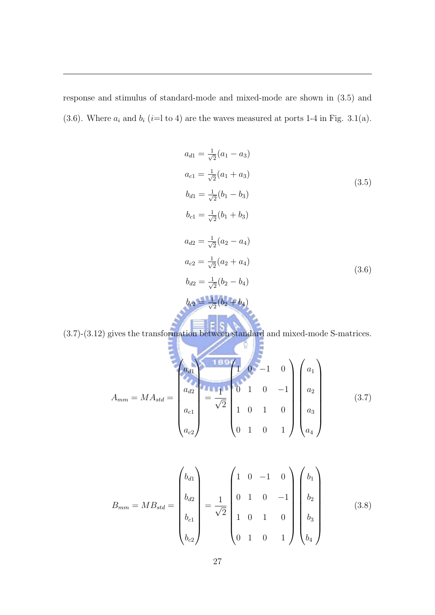response and stimulus of standard-mode and mixed-mode are shown in (3.5) and (3.6). Where  $a_i$  and  $b_i$  (i=l to 4) are the waves measured at ports 1-4 in Fig. 3.1(a).

$$
a_{d1} = \frac{1}{\sqrt{2}}(a_1 - a_3)
$$
  
\n
$$
a_{c1} = \frac{1}{\sqrt{2}}(a_1 + a_3)
$$
  
\n
$$
b_{d1} = \frac{1}{\sqrt{2}}(b_1 - b_3)
$$
  
\n
$$
b_{c1} = \frac{1}{\sqrt{2}}(b_1 + b_3)
$$
  
\n
$$
a_{d2} = \frac{1}{\sqrt{2}}(a_2 - a_4)
$$
  
\n
$$
a_{c2} = \frac{1}{\sqrt{2}}(a_2 + a_4)
$$
  
\n
$$
b_{d2} = \frac{1}{\sqrt{2}}(b_2 - b_4)
$$
  
\n
$$
b_{c2} = \frac{1}{\sqrt{2}}(b_2 + b_4)
$$
  
\n
$$
b_{c2} = \frac{1}{\sqrt{2}}(b_2 + b_4)
$$
  
\n(3.6)

(3.7)-(3.12) gives the transformation between standard and mixed-mode S-matrices.

$$
A_{mm} = MA_{std} = \begin{pmatrix} a_{d1} & a_{d2} \\ a_{d2} \\ a_{c1} \\ a_{c2} \end{pmatrix} = \frac{1}{\sqrt{2}} \begin{pmatrix} 1 & 0 & -1 & 0 \\ 0 & 1 & 0 & -1 \\ 1 & 0 & 1 & 0 \\ 0 & 1 & 0 & 1 \end{pmatrix} \begin{pmatrix} a_1 \\ a_2 \\ a_3 \\ a_4 \end{pmatrix}
$$
(3.7)

$$
B_{mm} = MB_{std} = \begin{pmatrix} b_{d1} \\ b_{d2} \\ b_{c1} \\ b_{c2} \end{pmatrix} = \frac{1}{\sqrt{2}} \begin{pmatrix} 1 & 0 & -1 & 0 \\ 0 & 1 & 0 & -1 \\ 1 & 0 & 1 & 0 \\ 0 & 1 & 0 & 1 \end{pmatrix} \begin{pmatrix} b_1 \\ b_2 \\ b_3 \\ b_4 \end{pmatrix}
$$
(3.8)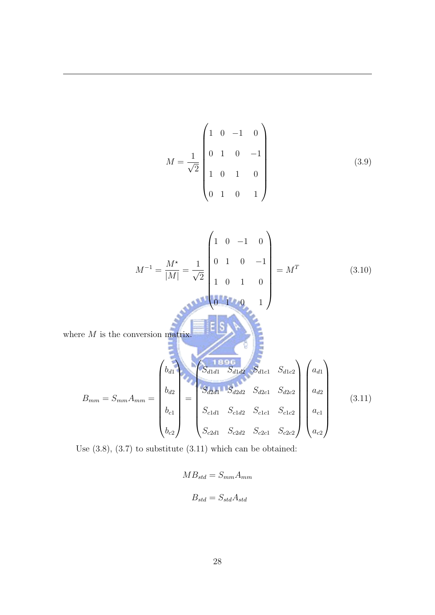$$
M = \frac{1}{\sqrt{2}} \begin{pmatrix} 1 & 0 & -1 & 0 \\ 0 & 1 & 0 & -1 \\ 1 & 0 & 1 & 0 \\ 0 & 1 & 0 & 1 \end{pmatrix}
$$
(3.9)  

$$
M^{-1} = \frac{M^*}{|M|} = \frac{1}{\sqrt{2}} \begin{pmatrix} 1 & 0 & -1 & 0 \\ 0 & 1 & 0 & -1 \\ 1 & 0 & 1 & 0 \\ 1 & 0 & 1 & 0 \\ 0 & 1 & 0 & 1 \end{pmatrix} = M^T
$$
(3.10)  
where *M* is the conversion matrix.  

$$
B_{mm} = S_{mm}A_{mm} = \begin{pmatrix} b_{d1} & b_{d2} & b_{d1} & b_{d1} \\ b_{d2} & b_{d2} & b_{d2} & b_{d2} \\ b_{e1} & b_{e2} & b_{d2} & b_{d2} & b_{d2} \\ b_{e2} & b_{e3} & b_{d3} & b_{d2} & b_{d2} \\ b_{e3} & b_{e4} & b_{e4} & b_{e4} & b_{d2} \\ b_{e4} & b_{e2} & b_{e3} & b_{e2} & b_{e3} \end{pmatrix} \begin{pmatrix} a_{d1} \\ a_{d2} \\ a_{d3} \\ a_{e4} \\ a_{e2} \\ a_{e3} \end{pmatrix}
$$
(3.11)

Use (3.8), (3.7) to substitute (3.11) which can be obtained:

$$
MB_{std} = S_{mm}A_{mm}
$$

$$
B_{std} = S_{std}A_{std}
$$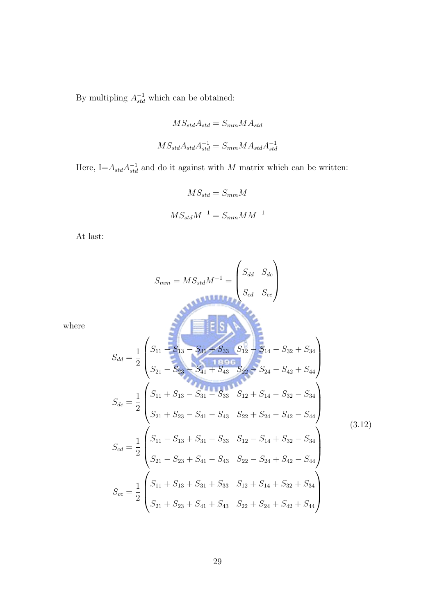By multipling  $A_{std}^{-1}$  which can be obtained:

$$
MS_{std}A_{std} = S_{mm}MA_{std}
$$

$$
MS_{std}A_{std}A_{std}^{-1} = S_{mm}MA_{std}A_{std}^{-1}
$$

Here, I= $A_{std}A_{std}^{-1}$  and do it against with M matrix which can be written:

$$
MS_{std} = S_{mm}M
$$

$$
MS_{std}M^{-1} = S_{mm}MM^{-1}
$$

At last:

where

$$
S_{mm} = MS_{std}M^{-1} = \begin{pmatrix} S_{dd} & S_{dc} \\ S_{cd} & S_{cc} \end{pmatrix}
$$
\n
$$
S_{dd} = \frac{1}{2} \begin{pmatrix} S_{11} - S_{13} & S_{31} + S_{33} & S_{12} \\ S_{21} - S_{23} & S_{41} + S_{43} & S_{22} & S_{24} - S_{42} + S_{44} \\ S_{21} - S_{23} & S_{41} + S_{43} & S_{22} & S_{24} - S_{42} + S_{44} \end{pmatrix}
$$
\n
$$
S_{dc} = \frac{1}{2} \begin{pmatrix} S_{11} + S_{13} - S_{31} - S_{33} & S_{12} + S_{14} - S_{32} - S_{34} \\ S_{21} + S_{23} - S_{41} - S_{43} & S_{22} + S_{24} - S_{42} - S_{44} \\ S_{21} - S_{23} + S_{41} - S_{43} & S_{22} - S_{14} + S_{32} - S_{34} \\ S_{21} - S_{23} + S_{41} - S_{43} & S_{22} - S_{24} + S_{42} - S_{44} \end{pmatrix} \tag{3.12}
$$
\n
$$
S_{cc} = \frac{1}{2} \begin{pmatrix} S_{11} + S_{13} + S_{31} + S_{33} & S_{12} + S_{14} + S_{32} + S_{34} \\ S_{21} + S_{23} + S_{41} + S_{43} & S_{22} + S_{24} + S_{42} + S_{44} \end{pmatrix}
$$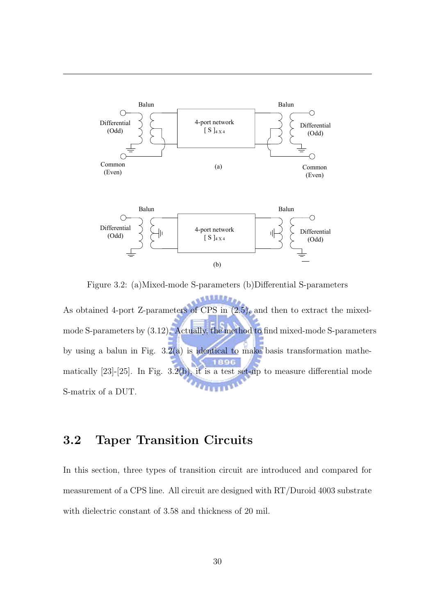

Figure 3.2: (a)Mixed-mode S-parameters (b)Differential S-parameters

**ANNAILLE** As obtained 4-port Z-parameters of CPS in (2.5), and then to extract the mixed-**Balun Balun Balun Balun Balun Balun Balun Balun Balun Balun Balun Balun Balun Balun Balun Balun Balun Balun Ba** mode S-parameters by (3.12). Actually, the method to find mixed-mode S-parameters  $\overline{\phantom{a}}$  $Z \sim 1$ by using a balun in Fig. 3.2(a) is identical to make basis transformation mathematically  $[23]-[25]$ . In Fig.  $3.\overline{2(b)}$ , it is a test set-up to measure differential mode (a) S-matrix of a DUT.

### 3.2 Taper Transition Circuits

measurement of a CPS line. All circuit are designed with RT/Duroid 4003 substrate In this section, three types of transition circuit are introduced and compared for with dielectric constant of 3.58 and thickness of 20 mil.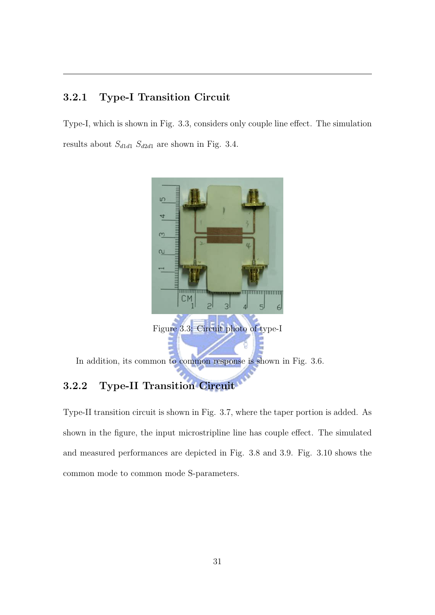#### 3.2.1 Type-I Transition Circuit

Type-I, which is shown in Fig. 3.3, considers only couple line effect. The simulation results about  $S_{d1d1} \ S_{d2d1}$  are shown in Fig. 3.4.

dB(4,3)



#### 3.2.2 Type-II Transition Circuit

Type-II transition circuit is shown in Fig. 3.7, where the taper portion is added. As shown in the figure, the input microstripline line has couple effect. The simulated and measured performances are depicted in Fig. 3.8 and 3.9. Fig. 3.10 shows the common mode to common mode S-parameters.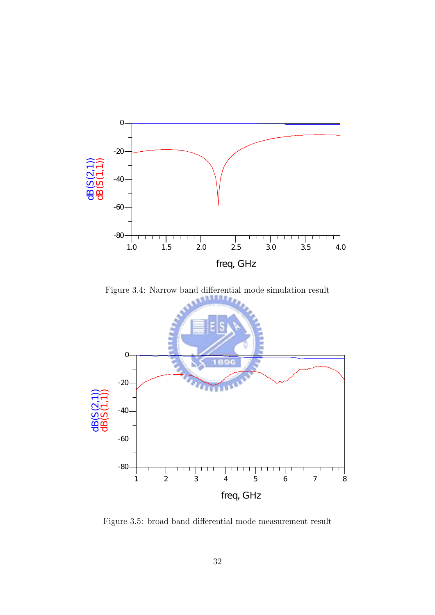

Figure 3.4: Narrow band differential mode simulation result



Figure 3.5: broad band differential mode measurement result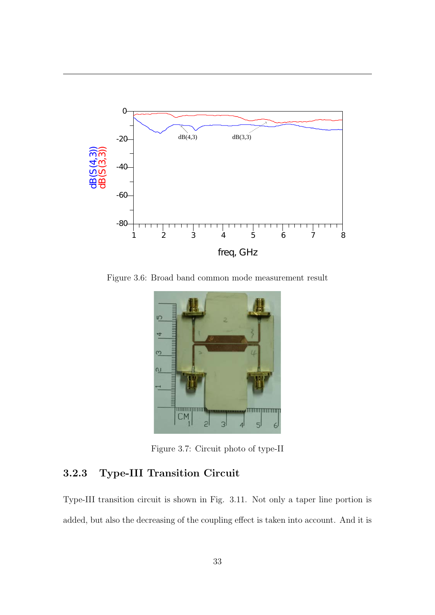

Figure 3.6: Broad band common mode measurement result



Figure 3.7: Circuit photo of type-II

#### 3.2.3 Type-III Transition Circuit

Type-III transition circuit is shown in Fig. 3.11. Not only a taper line portion is added, but also the decreasing of the coupling effect is taken into account. And it is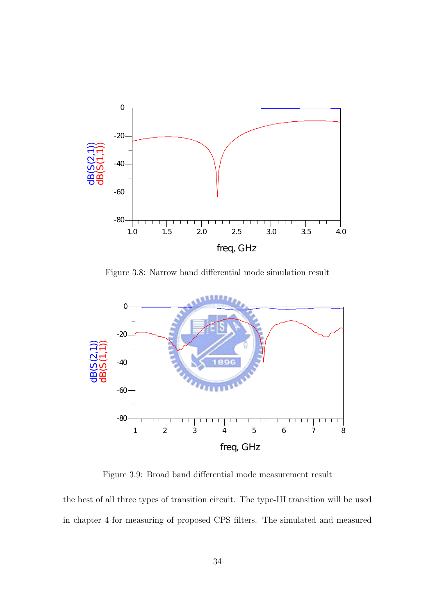

Figure 3.8: Narrow band differential mode simulation result



Figure 3.9: Broad band differential mode measurement result

the best of all three types of transition circuit. The type-III transition will be used in chapter 4 for measuring of proposed CPS filters. The simulated and measured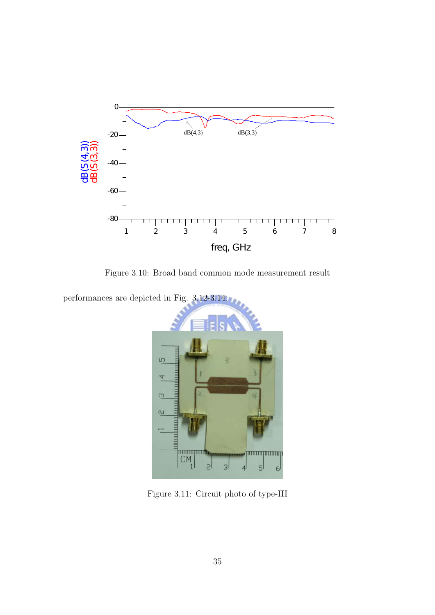

Figure 3.10: Broad band common mode measurement result

performances are depicted in Fig. 3.12-3.14.



Figure 3.11: Circuit photo of type-III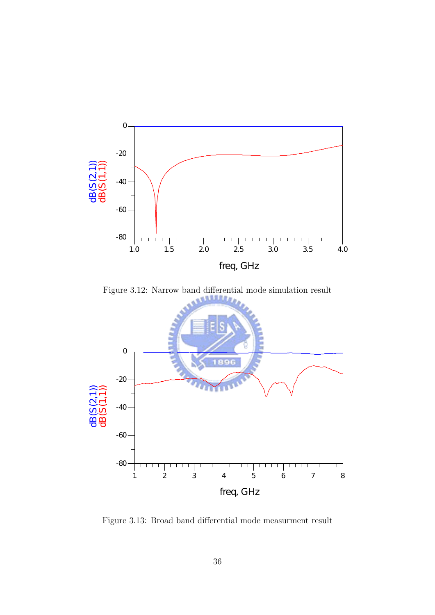

Figure 3.12: Narrow band differential mode simulation result



Figure 3.13: Broad band differential mode measurment result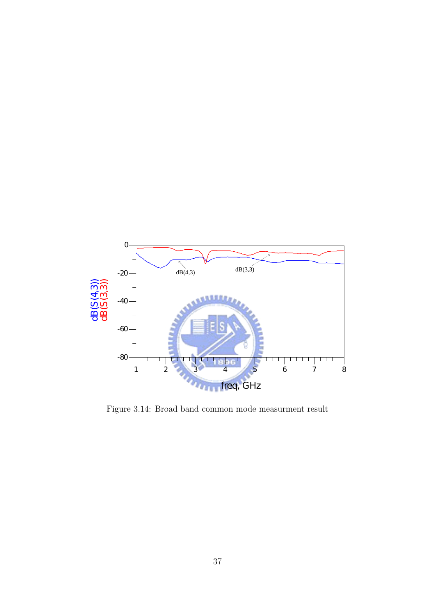

Figure 3.14: Broad band common mode measurment result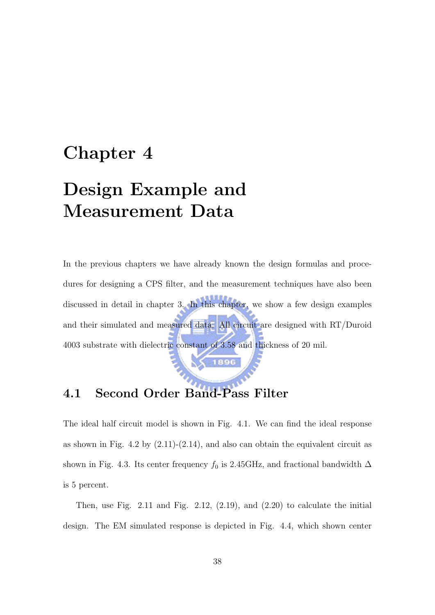# Chapter 4

# Design Example and Measurement Data

In the previous chapters we have already known the design formulas and procedures for designing a CPS filter, and the measurement techniques have also been discussed in detail in chapter 3. In this chapter, we show a few design examples and their simulated and measured data. All circuit are designed with RT/Duroid 4003 substrate with dielectric constant of 3.58 and thickness of 20 mil.

### 4.1 Second Order Band-Pass Filter

The ideal half circuit model is shown in Fig. 4.1. We can find the ideal response as shown in Fig. 4.2 by  $(2.11)-(2.14)$ , and also can obtain the equivalent circuit as shown in Fig. 4.3. Its center frequency  $f_0$  is 2.45GHz, and fractional bandwidth  $\Delta$ is 5 percent.

Then, use Fig. 2.11 and Fig. 2.12,  $(2.19)$ , and  $(2.20)$  to calculate the initial design. The EM simulated response is depicted in Fig. 4.4, which shown center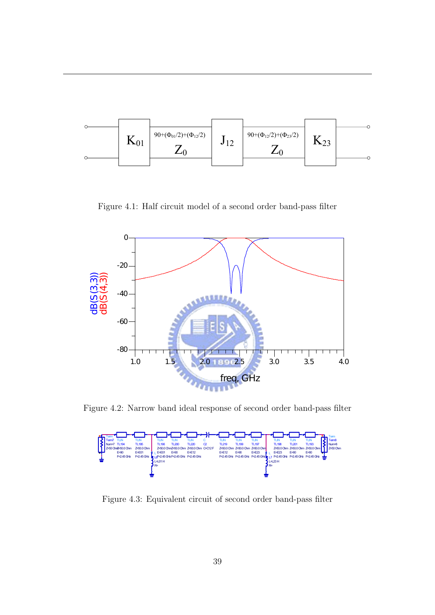

Figure 4.1: Half circuit model of a second order band-pass filter



Figure 4.2: Narrow band ideal response of second order band-pass filter

Figure 4.3: Equivalent circuit of second order band-pass filter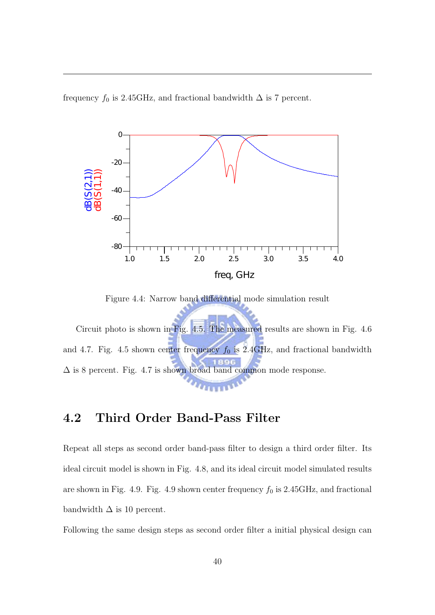frequency  $f_0$  is 2.45GHz, and fractional bandwidth  $\Delta$  is 7 percent.



Figure 4.4: Narrow band differential mode simulation result

Circuit photo is shown in Fig. 4.5. The measured results are shown in Fig. 4.6 and 4.7. Fig. 4.5 shown center frequency  $f_0$  is 2.4GHz, and fractional bandwidth  $\Delta$  is 8 percent. Fig. 4.7 is shown broad band common mode response.

#### 4.2 Third Order Band-Pass Filter

Repeat all steps as second order band-pass filter to design a third order filter. Its ideal circuit model is shown in Fig. 4.8, and its ideal circuit model simulated results are shown in Fig. 4.9. Fig. 4.9 shown center frequency  $f_0$  is 2.45GHz, and fractional bandwidth  $\Delta$  is 10 percent.

Following the same design steps as second order filter a initial physical design can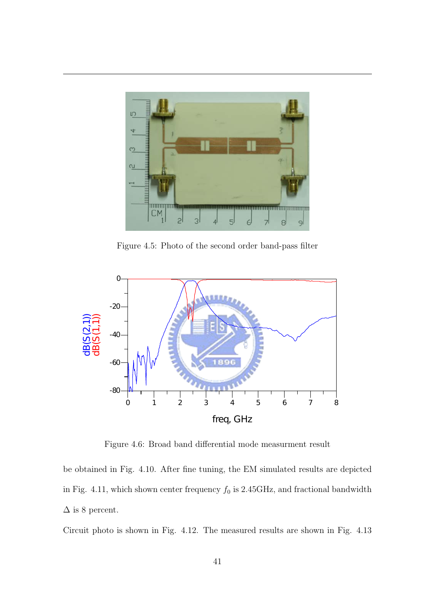

Figure 4.5: Photo of the second order band-pass filter



Figure 4.6: Broad band differential mode measurment result

be obtained in Fig. 4.10. After fine tuning, the EM simulated results are depicted in Fig. 4.11, which shown center frequency  $f_0$  is 2.45GHz, and fractional bandwidth  $\Delta$  is 8 percent.

Circuit photo is shown in Fig. 4.12. The measured results are shown in Fig. 4.13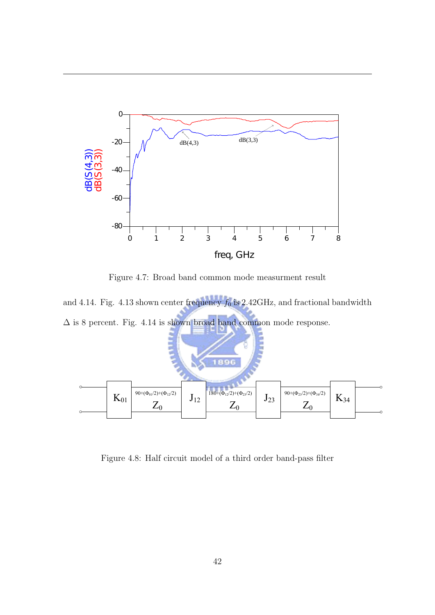

Figure 4.7: Broad band common mode measurment result  $\frac{1}{2}$ ure 1.1. Broad band common mode measure

and 4.14. Fig. 4.13 shown center frequency  $f_0$  is 2.42GHz, and fractional bandwidth  $\Delta$  is 8 percent. Fig. 4.14 is shown broad band common mode response. Z0 Z0



Figure 4.8: Half circuit model of a third order band-pass filter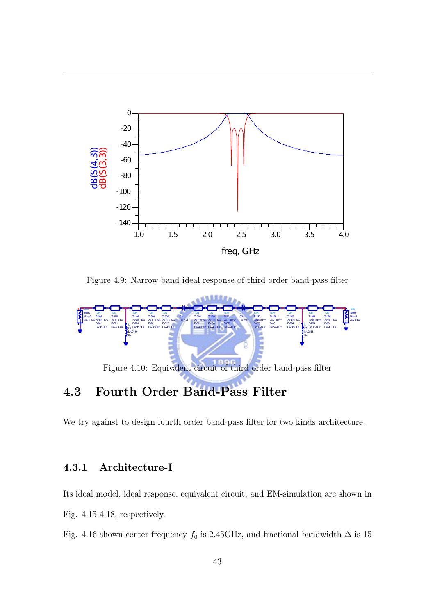

Figure 4.9: Narrow band ideal response of third order band-pass filter



### 4.3 Fourth Order Band-Pass Filter

We try against to design fourth order band-pass filter for two kinds architecture.

#### 4.3.1 Architecture-I

Its ideal model, ideal response, equivalent circuit, and EM-simulation are shown in Fig. 4.15-4.18, respectively.

Fig. 4.16 shown center frequency  $f_0$  is 2.45GHz, and fractional bandwidth  $\Delta$  is 15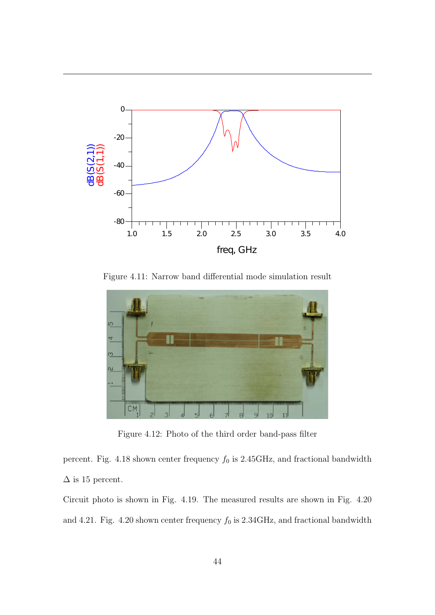

Figure 4.11: Narrow band differential mode simulation result



Figure 4.12: Photo of the third order band-pass filter

percent. Fig. 4.18 shown center frequency  $f_0$  is 2.45GHz, and fractional bandwidth  $\Delta$  is 15 percent.

Circuit photo is shown in Fig. 4.19. The measured results are shown in Fig. 4.20 and 4.21. Fig. 4.20 shown center frequency  $f_0$  is 2.34GHz, and fractional bandwidth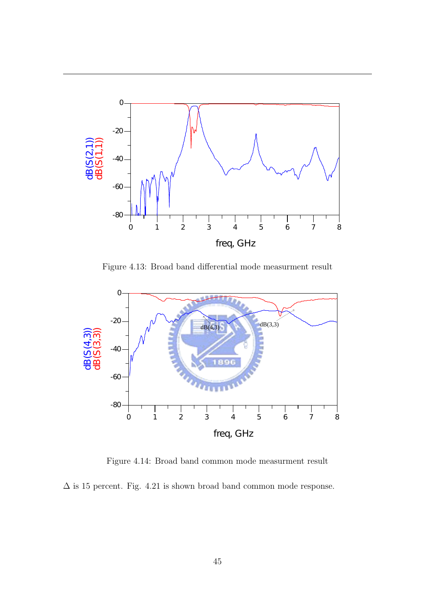

Figure 4.13: Broad band differential mode measurment result



Figure 4.14: Broad band common mode measurment result

 $\Delta$  is 15 percent. Fig. 4.21 is shown broad band common mode response.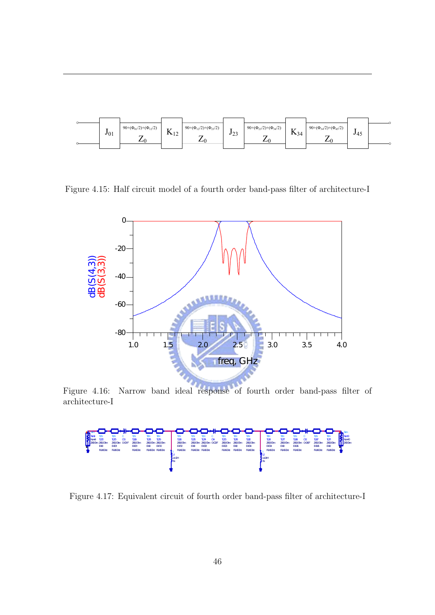

Figure 4.15: Half circuit model of a fourth order band-pass filter of architecture-I



Figure 4.16: Narrow band ideal response of fourth order band-pass filter of architecture-I



Figure 4.17: Equivalent circuit of fourth order band-pass filter of architecture-I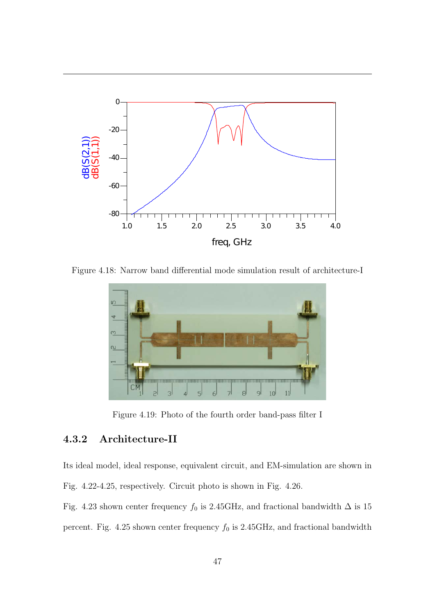

Figure 4.18: Narrow band differential mode simulation result of architecture-I



Figure 4.19: Photo of the fourth order band-pass filter I

#### 4.3.2 Architecture-II

Its ideal model, ideal response, equivalent circuit, and EM-simulation are shown in Fig. 4.22-4.25, respectively. Circuit photo is shown in Fig. 4.26.

Fig. 4.23 shown center frequency  $f_0$  is 2.45GHz, and fractional bandwidth  $\Delta$  is 15 percent. Fig. 4.25 shown center frequency  $f_0$  is 2.45GHz, and fractional bandwidth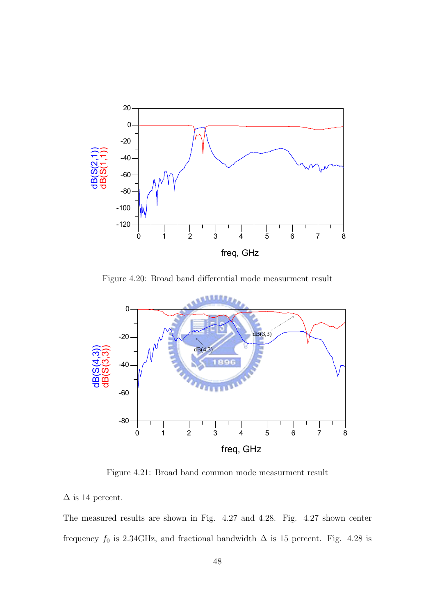

Figure 4.20: Broad band differential mode measurment result



Figure 4.21: Broad band common mode measurment result

 $\Delta$  is 14 percent.

The measured results are shown in Fig. 4.27 and 4.28. Fig. 4.27 shown center frequency  $f_0$  is 2.34GHz, and fractional bandwidth  $\Delta$  is 15 percent. Fig. 4.28 is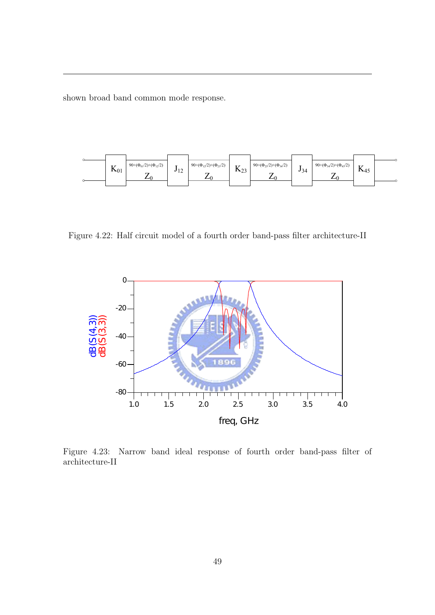shown broad band common mode response.



Figure 4.22: Half circuit model of a fourth order band-pass filter architecture-II



Figure 4.23: Narrow band ideal response of fourth order band-pass filter of architecture-II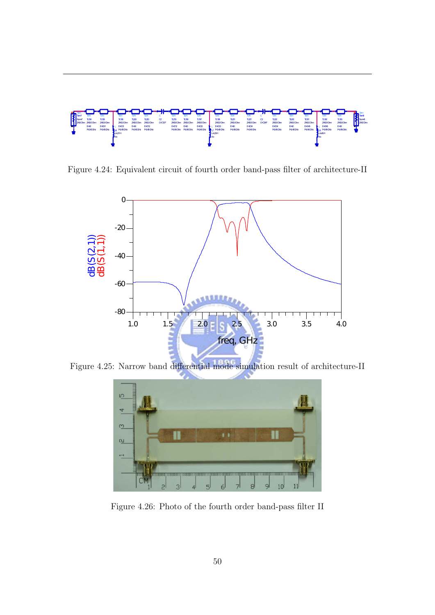

Figure 4.24: Equivalent circuit of fourth order band-pass filter of architecture-II



Figure 4.25: Narrow band differential mode simulation result of architecture-II



Figure 4.26: Photo of the fourth order band-pass filter II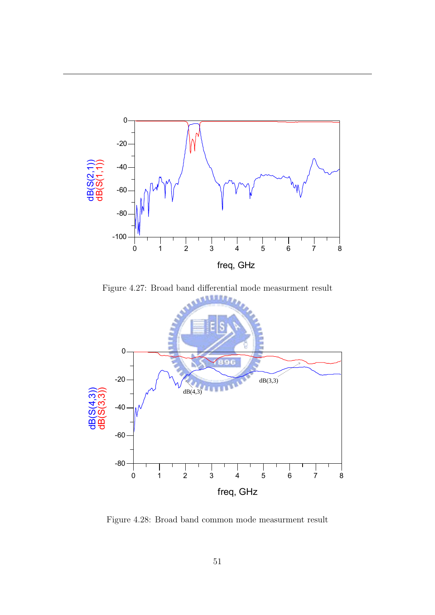

Figure 4.27: Broad band differential mode measurment result



Figure 4.28: Broad band common mode measurment result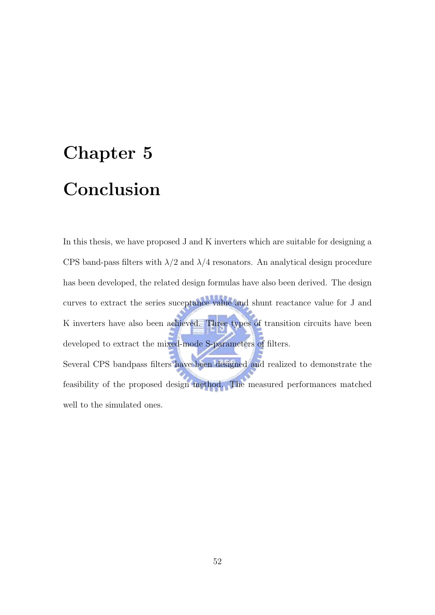# Chapter 5 Conclusion

In this thesis, we have proposed J and K inverters which are suitable for designing a CPS band-pass filters with  $\lambda/2$  and  $\lambda/4$  resonators. An analytical design procedure has been developed, the related design formulas have also been derived. The design curves to extract the series suceptance value and shunt reactance value for J and K inverters have also been achieved. Three types of transition circuits have been developed to extract the mixed-mode S-parameters of filters. Several CPS bandpass filters have been designed and realized to demonstrate the feasibility of the proposed design method. The measured performances matched well to the simulated ones.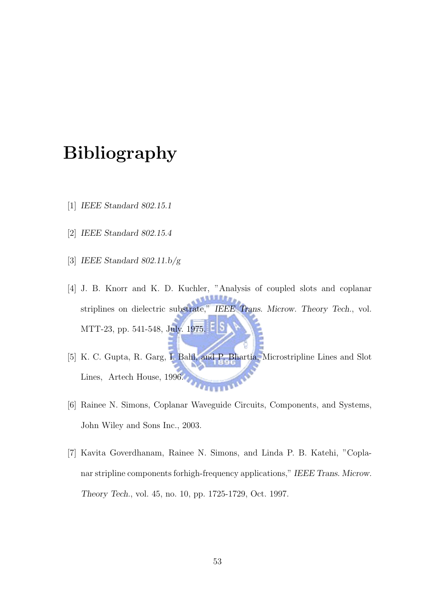# Bibliography

- [1] IEEE Standard 802.15.1
- [2] IEEE Standard 802.15.4
- [3] IEEE Standard  $802.11.b/g$
- [4] J. B. Knorr and K. D. Kuchler, "Analysis of coupled slots and coplanar **TURAN** striplines on dielectric substrate," IEEE Trans. Microw. Theory Tech., vol. MTT-23, pp. 541-548, July. 1975.
- [5] K. C. Gupta, R. Garg, I. Bahl, and P. Bhartia, Microstripline Lines and Slot Lines, Artech House, 1996. **TELEVALUE**
- [6] Rainee N. Simons, Coplanar Waveguide Circuits, Components, and Systems, John Wiley and Sons Inc., 2003.
- [7] Kavita Goverdhanam, Rainee N. Simons, and Linda P. B. Katehi, "Coplanar stripline components forhigh-frequency applications," IEEE Trans. Microw. Theory Tech., vol. 45, no. 10, pp. 1725-1729, Oct. 1997.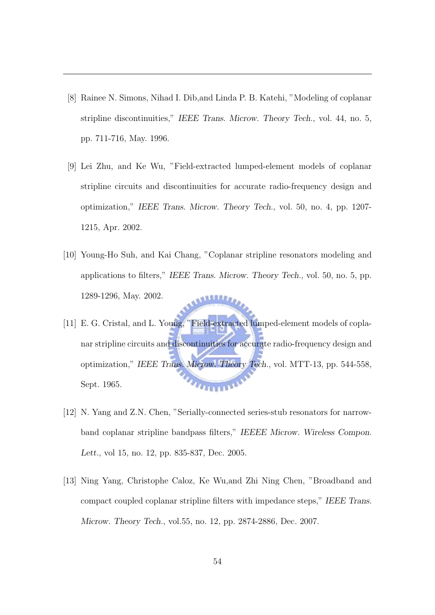- [8] Rainee N. Simons, Nihad I. Dib,and Linda P. B. Katehi, "Modeling of coplanar stripline discontinuities," IEEE Trans. Microw. Theory Tech., vol. 44, no. 5, pp. 711-716, May. 1996.
- [9] Lei Zhu, and Ke Wu, "Field-extracted lumped-element models of coplanar stripline circuits and discontinuities for accurate radio-frequency design and optimization," IEEE Trans. Microw. Theory Tech., vol. 50, no. 4, pp. 1207- 1215, Apr. 2002.
- [10] Young-Ho Suh, and Kai Chang, "Coplanar stripline resonators modeling and applications to filters," IEEE Trans. Microw. Theory Tech., vol. 50, no. 5, pp. 1289-1296, May. 2002. **STEERS**
- [11] E. G. Cristal, and L. Young, "Field-extracted lumped-element models of coplanar stripline circuits and discontinuities for accurate radio-frequency design and optimization," IEEE Trans. Microw. Theory Tech., vol. MTT-13, pp. 544-558, **HARDY** Sept. 1965.
- [12] N. Yang and Z.N. Chen, "Serially-connected series-stub resonators for narrowband coplanar stripline bandpass filters," IEEEE Microw. Wireless Compon. Lett., vol 15, no. 12, pp. 835-837, Dec. 2005.
- [13] Ning Yang, Christophe Caloz, Ke Wu,and Zhi Ning Chen, "Broadband and compact coupled coplanar stripline filters with impedance steps," IEEE Trans. Microw. Theory Tech., vol.55, no. 12, pp. 2874-2886, Dec. 2007.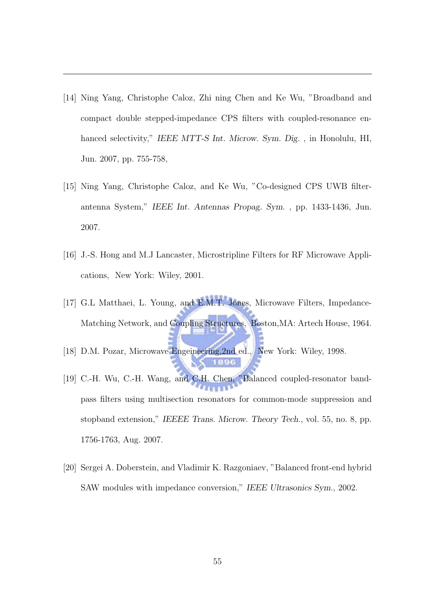- [14] Ning Yang, Christophe Caloz, Zhi ning Chen and Ke Wu, "Broadband and compact double stepped-impedance CPS filters with coupled-resonance enhanced selectivity," IEEE MTT-S Int. Microw. Sym. Dig., in Honolulu, HI, Jun. 2007, pp. 755-758,
- [15] Ning Yang, Christophe Caloz, and Ke Wu, "Co-designed CPS UWB filterantenna System," IEEE Int. Antennas Propag. Sym. , pp. 1433-1436, Jun. 2007.
- [16] J.-S. Hong and M.J Lancaster, Microstripline Filters for RF Microwave Applications, New York: Wiley, 2001.
- [17] G.L Matthaei, L. Young, and E.M.T. Jones, Microwave Filters, Impedance-Matching Network, and Coupling Structures, Boston,MA: Artech House, 1964.
- [18] D.M. Pozar, Microwave Engeineering, 2nd ed., New York: Wiley, 1998.
- [19] C.-H. Wu, C.-H. Wang, and C.H. Chen, "Balanced coupled-resonator bandpass filters using multisection resonators for common-mode suppression and stopband extension," IEEEE Trans. Microw. Theory Tech., vol. 55, no. 8, pp. 1756-1763, Aug. 2007.
- [20] Sergei A. Doberstein, and Vladimir K. Razgoniaev, "Balanced front-end hybrid SAW modules with impedance conversion," IEEE Ultrasonics Sym., 2002.